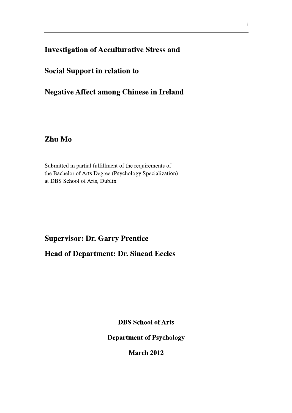## **Investigation of Acculturative Stress and**

## **Social Support in relation to**

## **Negative Affect among Chinese in Ireland**

## Zhu Mo

Submitted in partial fulfillment of the requirements of the Bachelor of Arts Degree (Psychology Specialization) at DBS School of Arts, Dublin

## **Supervisor: Dr. Garry Prentice**

**Head of Department: Dr. Sinead Eccles** 

**DBS** School of Arts

**Department of Psychology** 

**March 2012**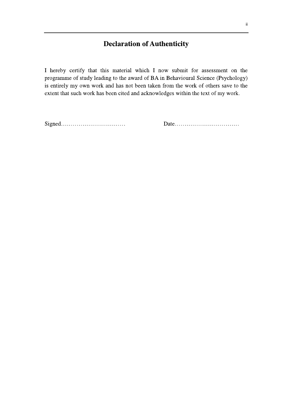## **Declaration of Authenticity**

I hereby certify that this material which I now submit for assessment on the programme of study leading to the award of BA in Behavioural Science (Psychology) is entirely my own work and has not been taken from the work of others save to the extent that such work has been cited and acknowledges within the text of my work.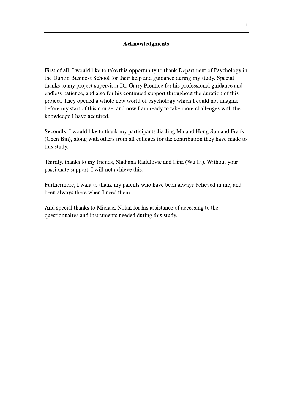#### **Acknowledgments**

First of all, I would like to take this opportunity to thank Department of Psychology in the Dublin Business School for their help and guidance during my study. Special thanks to my project supervisor Dr. Garry Prentice for his professional guidance and endless patience, and also for his continued support throughout the duration of this project. They opened a whole new world of psychology which I could not imagine before my start of this course, and now I am ready to take more challenges with the knowledge I have acquired.

Secondly, I would like to thank my participants Jia Jing Ma and Hong Sun and Frank (Chen Bin), along with others from all colleges for the contribution they have made to this study.

Thirdly, thanks to my friends, Sladjana Radulovic and Lina (Wu Li). Without your passionate support, I will not achieve this.

Furthermore, I want to thank my parents who have been always believed in me, and been always there when I need them.

And special thanks to Michael Nolan for his assistance of accessing to the questionnaires and instruments needed during this study.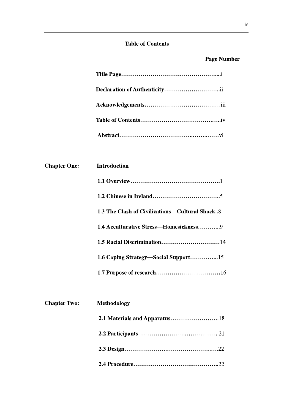### **Table of Contents**

## **Page Number**

| <b>Chapter One:</b> Introduction |                                                |
|----------------------------------|------------------------------------------------|
|                                  |                                                |
|                                  |                                                |
|                                  | 1.3 The Clash of Civilizations—Cultural Shock8 |
|                                  | 1.4 Acculturative Stress—Homesickness9         |
|                                  |                                                |
|                                  | 1.6 Coping Strategy—Social Support15           |
|                                  |                                                |

| <b>Chapter Two:</b> Methodology |  |
|---------------------------------|--|
|                                 |  |
|                                 |  |
|                                 |  |
|                                 |  |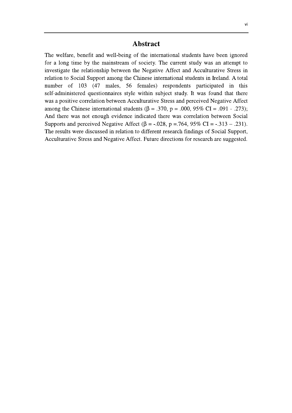#### **Abstract**

The welfare, benefit and well-being of the international students have been ignored for a long time by the mainstream of society. The current study was an attempt to investigate the relationship between the Negative Affect and Acculturative Stress in relation to Social Support among the Chinese international students in Ireland. A total number of 103 (47 males, 56 females) respondents participated in this self-administered questionnaires style within subject study. It was found that there was a positive correlation between Acculturative Stress and perceived Negative Affect among the Chinese international students ( $\beta$  = .370, p = .000, 95% CI = .091 - .273); And there was not enough evidence indicated there was correlation between Social Supports and perceived Negative Affect ( $\beta$  = -.028, p =.764, 95% CI = -.313 – .231). The results were discussed in relation to different research findings of Social Support, Acculturative Stress and Negative Affect. Future directions for research are suggested.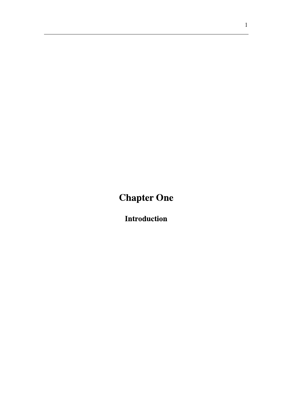# **Chapter One**

**Introduction**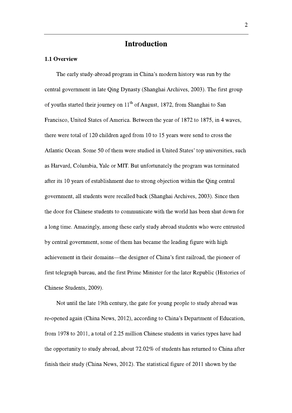### **Introduction**

#### 1.1 Overview

The early study-abroad program in China's modern history was run by the central government in late Qing Dynasty (Shanghai Archives, 2003). The first group of youths started their journey on 11<sup>th</sup> of August, 1872, from Shanghai to San Francisco, United States of America. Between the year of 1872 to 1875, in 4 waves, there were total of 120 children aged from 10 to 15 years were send to cross the Atlantic Ocean. Some 50 of them were studied in United States' top universities, such as Harvard, Columbia, Yale or MIT. But unfortunately the program was terminated after its 10 years of establishment due to strong objection within the Qing central government, all students were recalled back (Shanghai Archives, 2003). Since then the door for Chinese students to communicate with the world has been shut down for a long time. Amazingly, among these early study abroad students who were entrusted by central government, some of them has became the leading figure with high achievement in their domains—the designer of China's first railroad, the pioneer of first telegraph bureau, and the first Prime Minister for the later Republic (Histories of Chinese Students, 2009).

Not until the late 19th century, the gate for young people to study abroad was re-opened again (China News, 2012), according to China's Department of Education, from 1978 to 2011, a total of 2.25 million Chinese students in varies types have had the opportunity to study abroad, about 72.02% of students has returned to China after finish their study (China News, 2012). The statistical figure of 2011 shown by the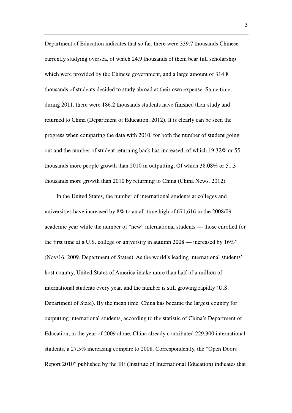Department of Education indicates that so far, there were 339.7 thousands Chinese currently studying oversea, of which 24.9 thousands of them bear full scholarship which were provided by the Chinese government, and a large amount of 314.8 thousands of students decided to study abroad at their own expense. Same time, during 2011, there were 186.2 thousands students have finished their study and returned to China (Department of Education, 2012). It is clearly can be seen the progress when comparing the data with 2010, for both the number of student going out and the number of student returning back has increased, of which 19.32% or 55 thousands more people growth than 2010 in outputting; Of which  $38.08\%$  or  $51.3$ thousands more growth than 2010 by returning to China (China News. 2012).

In the United States, the number of international students at colleges and universities have increased by 8% to an all-time high of 671,616 in the 2008/09 academic year while the number of "new" international students — those enrolled for the first time at a U.S. college or university in autumn  $2008$  — increased by 16%" (Nov/16, 2009. Department of States). As the world's leading international students' host country, United States of America intake more than half of a million of international students every year, and the number is still growing rapidly (U.S. Department of State). By the mean time, China has became the largest country for outputting international students, according to the statistic of China's Department of Education, in the year of 2009 alone, China already contributed 229,300 international students, a 27.5% increasing compare to 2008. Correspondently, the "Open Doors" Report 2010" published by the IIE (Institute of International Education) indicates that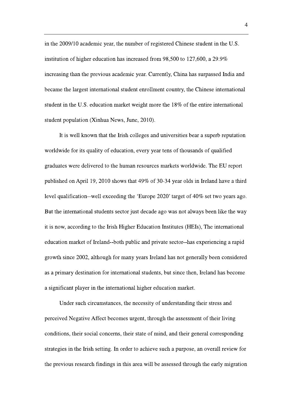in the 2009/10 academic year, the number of registered Chinese student in the U.S. institution of higher education has increased from 98,500 to 127,600, a 29.9% increasing than the previous academic year. Currently, China has surpassed India and became the largest international student enrollment country, the Chinese international student in the U.S. education market weight more the 18% of the entire international student population (Xinhua News, June, 2010).

It is well known that the Irish colleges and universities bear a superb reputation worldwide for its quality of education, every year tens of thousands of qualified graduates were delivered to the human resources markets worldwide. The EU report published on April 19, 2010 shows that 49% of 30-34 year olds in Ireland have a third level qualification--well exceeding the 'Europe 2020' target of 40% set two years ago. But the international students sector just decade ago was not always been like the way it is now, according to the Irish Higher Education Institutes (HEIs), The international education market of Ireland--both public and private sector--has experiencing a rapid growth since 2002, although for many years Ireland has not generally been considered as a primary destination for international students, but since then, Ireland has become a significant player in the international higher education market.

Under such circumstances, the necessity of understanding their stress and perceived Negative Affect becomes urgent, through the assessment of their living conditions, their social concerns, their state of mind, and their general corresponding strategies in the Irish setting. In order to achieve such a purpose, an overall review for the previous research findings in this area will be assessed through the early migration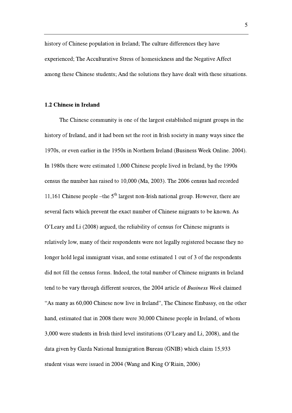history of Chinese population in Ireland; The culture differences they have experienced; The Acculturative Stress of homesickness and the Negative Affect among these Chinese students; And the solutions they have dealt with these situations.

#### 1.2 Chinese in Ireland

The Chinese community is one of the largest established migrant groups in the history of Ireland, and it had been set the root in Irish society in many ways since the 1970s, or even earlier in the 1950s in Northern Ireland (Business Week Online. 2004). In 1980s there were estimated 1,000 Chinese people lived in Ireland, by the 1990s census the number has raised to 10,000 (Ma, 2003). The 2006 census had recorded 11.161 Chinese people –the  $5<sup>th</sup>$  largest non-Irish national group. However, there are several facts which prevent the exact number of Chinese migrants to be known. As O'Leary and Li (2008) argued, the reliability of census for Chinese migrants is relatively low, many of their respondents were not legally registered because they no longer hold legal immigrant visas, and some estimated 1 out of 3 of the respondents did not fill the census forms. Indeed, the total number of Chinese migrants in Ireland tend to be vary through different sources, the 2004 article of Business Week claimed "As many as 60,000 Chinese now live in Ireland", The Chinese Embassy, on the other hand, estimated that in 2008 there were 30,000 Chinese people in Ireland, of whom 3,000 were students in Irish third level institutions (O'Leary and Li, 2008), and the data given by Garda National Immigration Bureau (GNIB) which claim 15,933 student visas were issued in 2004 (Wang and King O'Riain, 2006)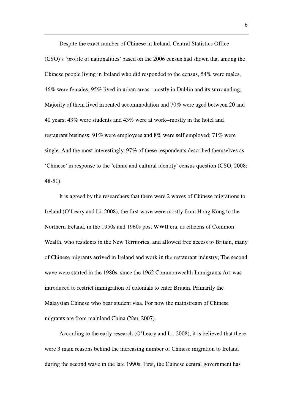Despite the exact number of Chinese in Ireland, Central Statistics Office (CSO)'s 'profile of nationalities' based on the 2006 census had shown that among the Chinese people living in Ireland who did responded to the census, 54% were males, 46% were females; 95% lived in urban areas--mostly in Dublin and its surrounding; Majority of them lived in rented accommodation and 70% were aged between 20 and 40 years; 43% were students and 43% were at work--mostly in the hotel and restaurant business; 91% were employees and 8% were self employed; 71% were single. And the most interestingly, 97% of these respondents described themselves as 'Chinese' in response to the 'ethnic and cultural identity' census question (CSO, 2008:  $48-51$ ).

It is agreed by the researchers that there were 2 waves of Chinese migrations to Ireland (O'Leary and Li, 2008), the first wave were mostly from Hong Kong to the Northern Ireland, in the 1950s and 1960s post WWII era, as citizens of Common Wealth, who residents in the New Territories, and allowed free access to Britain, many of Chinese migrants arrived in Ireland and work in the restaurant industry; The second wave were started in the 1980s, since the 1962 Commonwealth Immigrants Act was introduced to restrict immigration of colonials to enter Britain. Primarily the Malaysian Chinese who bear student visa. For now the mainstream of Chinese migrants are from mainland China (Yau, 2007).

According to the early research (O'Leary and Li, 2008), it is believed that there were 3 main reasons behind the increasing number of Chinese migration to Ireland during the second wave in the late 1990s. First, the Chinese central government has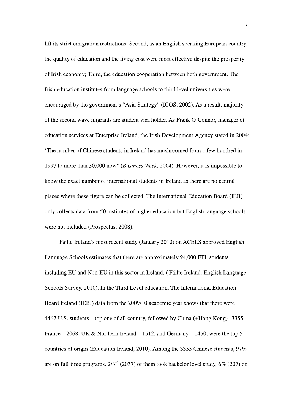lift its strict emigration restrictions; Second, as an English speaking European country, the quality of education and the living cost were most effective despite the prosperity of Irish economy; Third, the education cooperation between both government. The Irish education institutes from language schools to third level universities were encouraged by the government's "Asia Strategy" (ICOS, 2002). As a result, majority of the second wave migrants are student visa holder. As Frank O'Connor, manager of education services at Enterprise Ireland, the Irish Development Agency stated in 2004: The number of Chinese students in Ireland has mushroomed from a few hundred in 1997 to more than 30,000 now" (Business Week, 2004). However, it is impossible to know the exact number of international students in Ireland as there are no central places where these figure can be collected. The International Education Board (IEB) only collects data from 50 institutes of higher education but English language schools were not included (Prospectus, 2008).

Fáilte Ireland's most recent study (January 2010) on ACELS approved English Language Schools estimates that there are approximately 94,000 EFL students including EU and Non-EU in this sector in Ireland. (Fáilte Ireland. English Language Schools Survey. 2010). In the Third Level education, The International Education Board Ireland (IEBI) data from the 2009/10 academic year shows that there were 4467 U.S. students—top one of all country, followed by China (+Hong Kong)--3355, France—2068, UK & Northern Ireland—1512, and Germany—1450, were the top 5 countries of origin (Education Ireland, 2010). Among the 3355 Chinese students, 97% are on full-time programs.  $2/3^{rd}$  (2037) of them took bachelor level study, 6% (207) on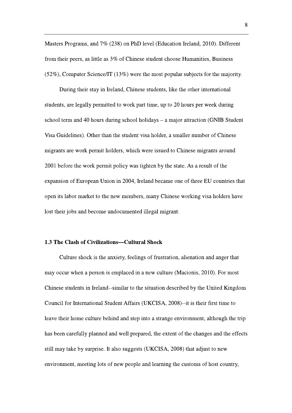Masters Programs, and 7% (238) on PhD level (Education Ireland, 2010). Different from their peers, as little as 3% of Chinese student choose Humanities, Business  $(52\%)$ , Computer Science/IT (13%) were the most popular subjects for the majority.

During their stay in Ireland, Chinese students, like the other international students, are legally permitted to work part time, up to 20 hours per week during school term and 40 hours during school holidays  $-$  a major attraction (GNIB Student Visa Guidelines). Other than the student visa holder, a smaller number of Chinese migrants are work permit holders, which were issued to Chinese migrants around 2001 before the work permit policy was tighten by the state. As a result of the expansion of European Union in 2004, Ireland became one of three EU countries that open its labor market to the new members, many Chinese working visa holders have lost their jobs and become undocumented illegal migrant.

#### 1.3 The Clash of Civilizations—Cultural Shock

Culture shock is the anxiety, feelings of frustration, alienation and anger that may occur when a person is emplaced in a new culture (Macionis, 2010). For most Chinese students in Ireland-similar to the situation described by the United Kingdom Council for International Student Affairs (UKCISA, 2008)--it is their first time to leave their home culture behind and step into a strange environment, although the trip has been carefully planned and well prepared, the extent of the changes and the effects still may take by surprise. It also suggests (UKCISA, 2008) that adjust to new environment, meeting lots of new people and learning the customs of host country,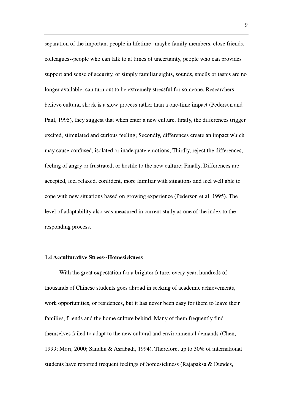separation of the important people in lifetime--maybe family members, close friends, colleagues--people who can talk to at times of uncertainty, people who can provides support and sense of security, or simply familiar sights, sounds, smells or tastes are no longer available, can turn out to be extremely stressful for someone. Researchers believe cultural shock is a slow process rather than a one-time impact (Pederson and Paul, 1995), they suggest that when enter a new culture, firstly, the differences trigger excited, stimulated and curious feeling; Secondly, differences create an impact which may cause confused, isolated or inadequate emotions; Thirdly, reject the differences, feeling of angry or frustrated, or hostile to the new culture; Finally, Differences are accepted, feel relaxed, confident, more familiar with situations and feel well able to cope with new situations based on growing experience (Pederson et al, 1995). The level of adaptability also was measured in current study as one of the index to the responding process.

#### **1.4 Acculturative Stress--Homesickness**

With the great expectation for a brighter future, every year, hundreds of thousands of Chinese students goes abroad in seeking of academic achievements, work opportunities, or residences, but it has never been easy for them to leave their families, friends and the home culture behind. Many of them frequently find themselves failed to adapt to the new cultural and environmental demands (Chen, 1999; Mori, 2000; Sandhu & Asrabadi, 1994). Therefore, up to 30% of international students have reported frequent feelings of homesickness (Rajapaksa & Dundes,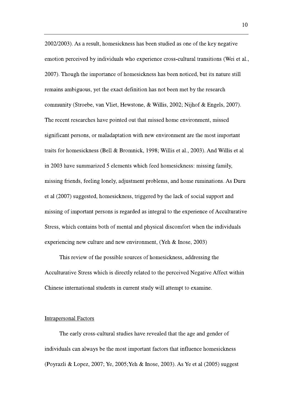2002/2003). As a result, homesickness has been studied as one of the key negative emotion perceived by individuals who experience cross-cultural transitions (Wei et al., 2007). Though the importance of homesickness has been noticed, but its nature still remains ambiguous, yet the exact definition has not been met by the research community (Stroebe, van Vliet, Hewstone, & Willis, 2002; Nijhof & Engels, 2007). The recent researches have pointed out that missed home environment, missed significant persons, or maladaptation with new environment are the most important traits for homesickness (Bell & Bromnick, 1998; Willis et al., 2003). And Willis et al in 2003 have summarized 5 elements which feed homesickness: missing family, missing friends, feeling lonely, adjustment problems, and home ruminations. As Duru et al (2007) suggested, homesickness, triggered by the lack of social support and missing of important persons is regarded as integral to the experience of Acculturative Stress, which contains both of mental and physical discomfort when the individuals experiencing new culture and new environment, (Yeh  $&$  Inose, 2003)

This review of the possible sources of homesickness, addressing the Acculturative Stress which is directly related to the perceived Negative Affect within Chinese international students in current study will attempt to examine.

#### **Intrapersonal Factors**

The early cross-cultural studies have revealed that the age and gender of individuals can always be the most important factors that influence homesickness (Poyrazli & Lopez, 2007; Ye, 2005; Yeh & Inose, 2003). As Ye et al (2005) suggest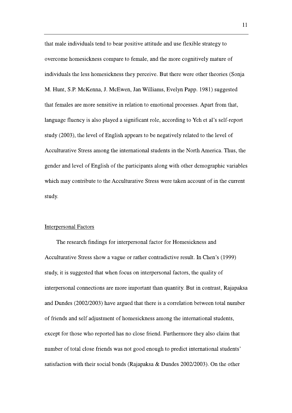that male individuals tend to bear positive attitude and use flexible strategy to overcome homesickness compare to female, and the more cognitively mature of individuals the less homesickness they perceive. But there were other theories (Sonja M. Hunt, S.P. McKenna, J. McEwen, Jan Williams, Evelyn Papp. 1981) suggested that females are more sensitive in relation to emotional processes. Apart from that, language fluency is also played a significant role, according to Yeh et al's self-report study (2003), the level of English appears to be negatively related to the level of Acculturative Stress among the international students in the North America. Thus, the gender and level of English of the participants along with other demographic variables which may contribute to the Acculturative Stress were taken account of in the current study.

#### **Interpersonal Factors**

The research findings for interpersonal factor for Homesickness and Acculturative Stress show a vague or rather contradictive result. In Chen's (1999) study, it is suggested that when focus on interpersonal factors, the quality of interpersonal connections are more important than quantity. But in contrast, Rajapaksa and Dundes (2002/2003) have argued that there is a correlation between total number of friends and self adjustment of homesickness among the international students, except for those who reported has no close friend. Furthermore they also claim that number of total close friends was not good enough to predict international students' satisfaction with their social bonds (Rajapaksa & Dundes 2002/2003). On the other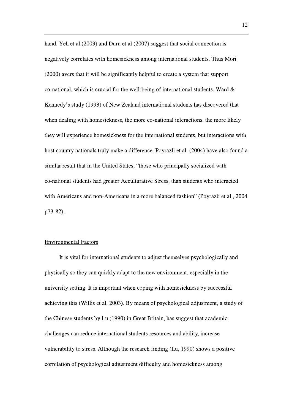hand, Yeh et al (2003) and Duru et al (2007) suggest that social connection is negatively correlates with homesickness among international students. Thus Mori (2000) avers that it will be significantly helpful to create a system that support co-national, which is crucial for the well-being of international students. Ward  $\&$ Kennedy's study (1993) of New Zealand international students has discovered that when dealing with homesickness, the more co-national interactions, the more likely they will experience homesickness for the international students, but interactions with host country nationals truly make a difference. Poyrazli et al. (2004) have also found a similar result that in the United States, "those who principally socialized with co-national students had greater Acculturative Stress, than students who interacted with Americans and non-Americans in a more balanced fashion" (Poyrazli et al., 2004) p73-82).

#### **Environmental Factors**

It is vital for international students to adjust themselves psychologically and physically so they can quickly adapt to the new environment, especially in the university setting. It is important when coping with homesickness by successful achieving this (Willis et al, 2003). By means of psychological adjustment, a study of the Chinese students by Lu (1990) in Great Britain, has suggest that academic challenges can reduce international students resources and ability, increase vulnerability to stress. Although the research finding (Lu, 1990) shows a positive correlation of psychological adjustment difficulty and homesickness among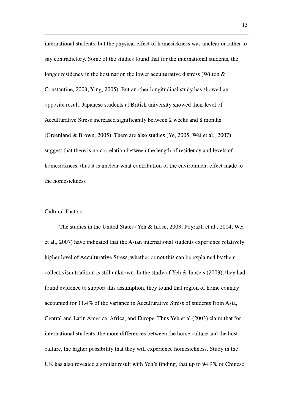international students, but the physical effect of homesickness was unclear or rather to say contradictory. Some of the studies found that for the international students, the longer residency in the host nation the lower acculturative distress (Wilton  $\&$ Constantine, 2003; Ying, 2005). But another longitudinal study has showed an opposite result. Japanese students at British university showed their level of Acculturative Stress increased significantly between 2 weeks and 8 months (Greenland & Brown, 2005). There are also studies (Ye, 2005; Wei et al., 2007) suggest that there is no correlation between the length of residency and levels of homesickness, thus it is unclear what contribution of the environment effect made to the homesickness

#### **Cultural Factors**

The studies in the United States (Yeh & Inose, 2003; Poyrazli et al., 2004; Wei et al., 2007) have indicated that the Asian international students experience relatively higher level of Acculturative Stress, whether or not this can be explained by their collectivism tradition is still unknown. In the study of Yeh  $\&$  Inose's (2003), they had found evidence to support this assumption, they found that region of home country accounted for 11.4% of the variance in Acculturative Stress of students from Asia, Central and Latin America, Africa, and Europe. Thus Yeh et al (2003) claim that for international students, the more differences between the home culture and the host culture, the higher possibility that they will experience homesickness. Study in the UK has also revealed a similar result with Yeh's finding, that up to 94.9% of Chinese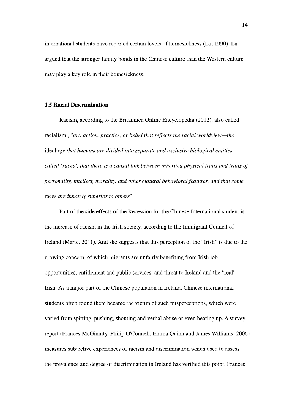international students have reported certain levels of homesickness (Lu, 1990). Lu argued that the stronger family bonds in the Chinese culture than the Western culture may play a key role in their homesickness.

#### **1.5 Racial Discrimination**

Racism, according to the Britannica Online Encyclopedia (2012), also called racialism, "any action, practice, or belief that reflects the racial worldview—the ideology that humans are divided into separate and exclusive biological entities called 'races', that there is a causal link between inherited physical traits and traits of personality, intellect, morality, and other cultural behavioral features, and that some races are innately superior to others".

Part of the side effects of the Recession for the Chinese International student is the increase of racism in the Irish society, according to the Immigrant Council of Ireland (Marie, 2011). And she suggests that this perception of the "Irish" is due to the growing concern, of which migrants are unfairly benefiting from Irish job opportunities, entitlement and public services, and threat to Ireland and the "real" Irish. As a major part of the Chinese population in Ireland, Chinese international students often found them became the victim of such misperceptions, which were varied from spitting, pushing, shouting and verbal abuse or even beating up. A survey report (Frances McGinnity, Philip O'Connell, Emma Quinn and James Williams. 2006) measures subjective experiences of racism and discrimination which used to assess the prevalence and degree of discrimination in Ireland has verified this point. Frances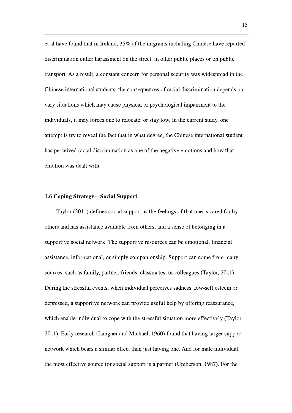et al have found that in Ireland, 35% of the migrants including Chinese have reported discrimination either harassment on the street, in other public places or on public transport. As a result, a constant concern for personal security was widespread in the Chinese international students, the consequences of racial discrimination depends on vary situations which may cause physical or psychological impairment to the individuals, it may forces one to relocate, or stay low. In the current study, one attempt is try to reveal the fact that in what degree, the Chinese international student has perceived racial discrimination as one of the negative emotions and how that emotion was dealt with.

#### **1.6 Coping Strategy—Social Support**

Taylor (2011) defines social support as the feelings of that one is cared for by others and has assistance available from others, and a sense of belonging in a supportive social network. The supportive resources can be emotional, financial assistance, informational, or simply companionship. Support can come from many sources, such as family, partner, friends, classmates, or colleagues (Taylor, 2011). During the stressful events, when individual perceives sadness, low-self esteem or depressed, a supportive network can provide useful help by offering reassurance, which enable individual to cope with the stressful situation more effectively (Taylor, 2011). Early research (Langner and Michael, 1960) found that having larger support network which bears a similar effect than just having one. And for male individual, the most effective source for social support is a partner (Umberson, 1987). For the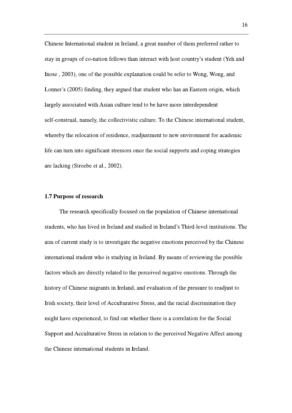Chinese International student in Ireland, a great number of them preferred rather to stay in groups of co-nation fellows than interact with host country's student (Yeh and Inose, 2003), one of the possible explanation could be refer to Wong, Wong, and Lonner's (2005) finding, they argued that student who has an Eastern origin, which largely associated with Asian culture tend to be have more interdependent self-construal, namely, the collectivistic culture. To the Chinese international student, whereby the relocation of residence, readjustment to new environment for academic life can turn into significant stressors once the social supports and coping strategies are lacking (Stroebe et al., 2002).

#### 1.7 Purpose of research

The research specifically focused on the population of Chinese international students, who has lived in Ireland and studied in Ireland's Third-level institutions. The aim of current study is to investigate the negative emotions perceived by the Chinese international student who is studying in Ireland. By means of reviewing the possible factors which are directly related to the perceived negative emotions. Through the history of Chinese migrants in Ireland, and evaluation of the pressure to readjust to Irish society, their level of Acculturative Stress, and the racial discrimination they might have experienced, to find out whether there is a correlation for the Social Support and Acculturative Stress in relation to the perceived Negative Affect among the Chinese international students in Ireland.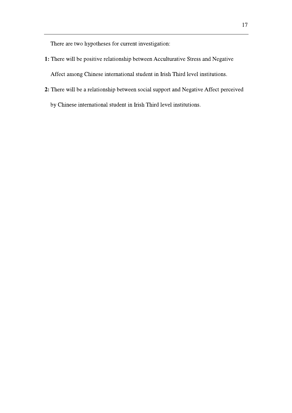There are two hypotheses for current investigation:

- 1: There will be positive relationship between Acculturative Stress and Negative Affect among Chinese international student in Irish Third level institutions.
- 2: There will be a relationship between social support and Negative Affect perceived

by Chinese international student in Irish Third level institutions.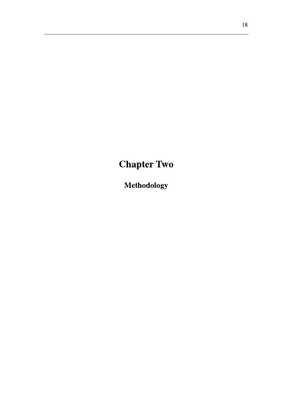# **Chapter Two**

Methodology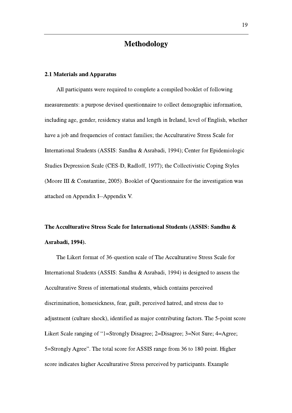### **Methodology**

#### 2.1 Materials and Apparatus

All participants were required to complete a compiled booklet of following measurements: a purpose devised questionnaire to collect demographic information, including age, gender, residency status and length in Ireland, level of English, whether have a job and frequencies of contact families; the Acculturative Stress Scale for International Students (ASSIS: Sandhu & Asrabadi, 1994); Center for Epidemiologic Studies Depression Scale (CES-D, Radloff, 1977); the Collectivistic Coping Styles (Moore III & Constantine, 2005). Booklet of Questionnaire for the investigation was attached on Appendix I--Appendix V.

## The Acculturative Stress Scale for International Students (ASSIS: Sandhu & Asrabadi, 1994).

The Likert format of 36-question scale of The Acculturative Stress Scale for International Students (ASSIS: Sandhu & Asrabadi, 1994) is designed to assess the Acculturative Stress of international students, which contains perceived discrimination, homesickness, fear, guilt, perceived hatred, and stress due to adjustment (culture shock), identified as major contributing factors. The 5-point score Likert Scale ranging of "1=Strongly Disagree; 2=Disagree; 3=Not Sure; 4=Agree; 5=Strongly Agree". The total score for ASSIS range from 36 to 180 point. Higher score indicates higher Acculturative Stress perceived by participants. Example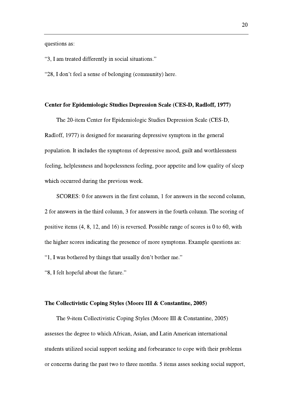#### questions as:

"3, I am treated differently in social situations."

"28, I don't feel a sense of belonging (community) here.

#### **Center for Epidemiologic Studies Depression Scale (CES-D, Radloff, 1977)**

The 20-item Center for Epidemiologic Studies Depression Scale (CES-D, Radloff, 1977) is designed for measuring depressive symptom in the general population. It includes the symptoms of depressive mood, guilt and worthlessness feeling, helplessness and hopelessness feeling, poor appetite and low quality of sleep which occurred during the previous week.

SCORES: 0 for answers in the first column, 1 for answers in the second column, 2 for answers in the third column, 3 for answers in the fourth column. The scoring of positive items  $(4, 8, 12, and 16)$  is reversed. Possible range of scores is 0 to 60, with the higher scores indicating the presence of more symptoms. Example questions as: "1, I was bothered by things that usually don't bother me."

"8, I felt hopeful about the future."

#### The Collectivistic Coping Styles (Moore III & Constantine, 2005)

The 9-item Collectivistic Coping Styles (Moore III & Constantine, 2005) assesses the degree to which African, Asian, and Latin American international students utilized social support seeking and forbearance to cope with their problems or concerns during the past two to three months. 5 items asses seeking social support,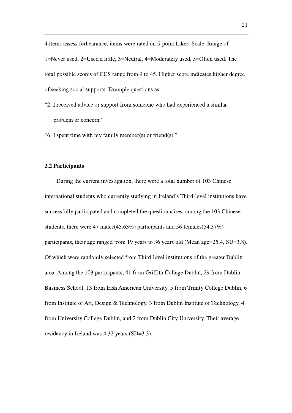4 items assess forbearance, items were rated on 5-point Likert Scale. Range of 1=Never used, 2=Used a little, 3=Neutral, 4=Moderately used, 5=Often used. The total possible scores of CCS range from 9 to 45. Higher score indicates higher degree of seeking social supports. Example questions as:

- "2, I received advice or support from someone who had experienced a similar problem or concern."
- "6, I spent time with my family member(s) or friend(s)."

#### 2.2 Participants

During the current investigation, there were a total number of 103 Chinese international students who currently studying in Ireland's Third-level institutions have successfully participated and completed the questionnaires, among the 103 Chinese students, there were 47 males $(45.63\%)$  participants and 56 females $(54.37\%)$ participants, their age ranged from 19 years to 36 years old (Mean age=25.4, SD=3.8). Of which were randomly selected from Third-level institutions of the greater Dublin area. Among the 103 participants, 41 from Griffith College Dublin, 29 from Dublin Business School, 13 from Irish American University, 5 from Trinity College Dublin, 6 from Institute of Art, Design & Technology, 3 from Dublin Institute of Technology, 4 from University College Dublin, and 2 from Dublin City University. Their average residency in Ireland was 4.32 years (SD=3.3).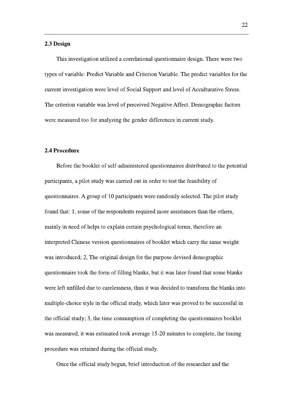#### 2.3 Design

This investigation utilized a correlational questionnaire design. There were two types of variable: Predict Variable and Criterion Variable. The predict variables for the current investigation were level of Social Support and level of Acculturative Stress. The criterion variable was level of perceived Negative Affect. Demographic factors were measured too for analyzing the gender differences in current study.

#### 2.4 Procedure

Before the booklet of self-administered questionnaires distributed to the potential participants, a pilot study was carried out in order to test the feasibility of questionnaires. A group of 10 participants were randomly selected. The pilot study found that: 1, some of the respondents required more assistances than the others, mainly in need of helps to explain certain psychological terms, therefore an interpreted Chinese version questionnaires of booklet which carry the same weight was introduced; 2, The original design for the purpose devised demographic questionnaire took the form of filling blanks, but it was later found that some blanks were left unfilled due to carelessness, thus it was decided to transform the blanks into multiple-choice style in the official study, which later was proved to be successful in the official study; 3, the time consumption of completing the questionnaires booklet was measured, it was estimated took average 15-20 minutes to complete, the timing procedure was retained during the official study.

Once the official study begun, brief introduction of the researcher and the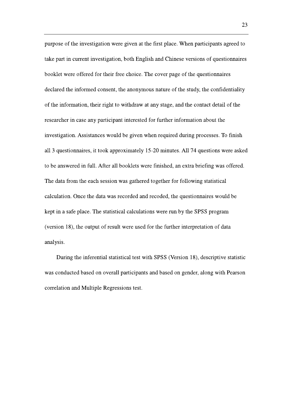purpose of the investigation were given at the first place. When participants agreed to take part in current investigation, both English and Chinese versions of questionnaires booklet were offered for their free choice. The cover page of the questionnaires declared the informed consent, the anonymous nature of the study, the confidentiality of the information, their right to withdraw at any stage, and the contact detail of the researcher in case any participant interested for further information about the investigation. Assistances would be given when required during processes. To finish all 3 questionnaires, it took approximately 15-20 minutes. All 74 questions were asked to be answered in full. After all booklets were finished, an extra briefing was offered. The data from the each session was gathered together for following statistical calculation. Once the data was recorded and recoded, the questionnaires would be kept in a safe place. The statistical calculations were run by the SPSS program (version 18), the output of result were used for the further interpretation of data analysis.

During the inferential statistical test with SPSS (Version 18), descriptive statistic was conducted based on overall participants and based on gender, along with Pearson correlation and Multiple Regressions test.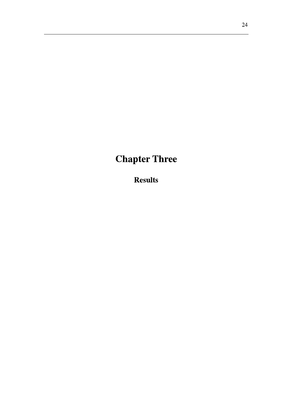# **Chapter Three**

**Results**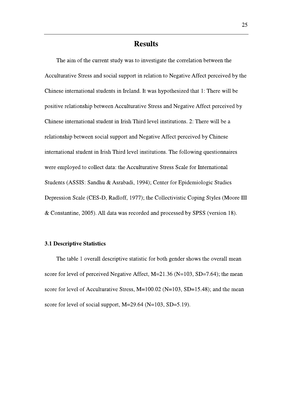### **Results**

The aim of the current study was to investigate the correlation between the Acculturative Stress and social support in relation to Negative Affect perceived by the Chinese international students in Ireland. It was hypothesized that 1: There will be positive relationship between Acculturative Stress and Negative Affect perceived by Chinese international student in Irish Third level institutions. 2: There will be a relationship between social support and Negative Affect perceived by Chinese international student in Irish Third level institutions. The following questionnaires were employed to collect data: the Acculturative Stress Scale for International Students (ASSIS: Sandhu & Asrabadi, 1994); Center for Epidemiologic Studies Depression Scale (CES-D, Radloff, 1977); the Collectivistic Coping Styles (Moore III & Constantine, 2005). All data was recorded and processed by SPSS (version 18).

#### **3.1 Descriptive Statistics**

The table 1 overall descriptive statistic for both gender shows the overall mean score for level of perceived Negative Affect,  $M=21.36$  ( $N=103$ , SD=7.64); the mean score for level of Acculturative Stress, M=100.02 (N=103, SD=15.48); and the mean score for level of social support,  $M=29.64$  ( $N=103$ ,  $SD=5.19$ ).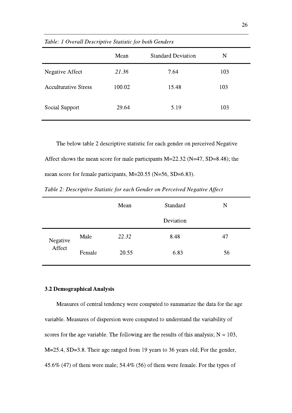| Table: 1 Overall Descriptive Statistic for both Genders |        |                           |     |  |  |
|---------------------------------------------------------|--------|---------------------------|-----|--|--|
|                                                         | Mean   | <b>Standard Deviation</b> | N   |  |  |
| Negative Affect                                         | 21.36  | 7.64                      | 103 |  |  |
| <b>Acculturative Stress</b>                             | 100.02 | 15.48                     | 103 |  |  |
| Social Support                                          | 29.64  | 5.19                      | 103 |  |  |

The below table 2 descriptive statistic for each gender on perceived Negative Affect shows the mean score for male participants  $M=22.32$  (N=47, SD=8.48); the mean score for female participants, M=20.55 (N=56, SD=6.83).

|          |        | Mean  | Standard  | N  |
|----------|--------|-------|-----------|----|
|          |        |       | Deviation |    |
| Negative | Male   | 22.32 | 8.48      | 47 |
| Affect   | Female | 20.55 | 6.83      | 56 |

#### 3.2 Demographical Analysis

Measures of central tendency were computed to summarize the data for the age variable. Measures of dispersion were computed to understand the variability of scores for the age variable. The following are the results of this analysis;  $N = 103$ , M=25.4, SD=3.8. Their age ranged from 19 years to 36 years old; For the gender, 45.6% (47) of them were male; 54.4% (56) of them were female. For the types of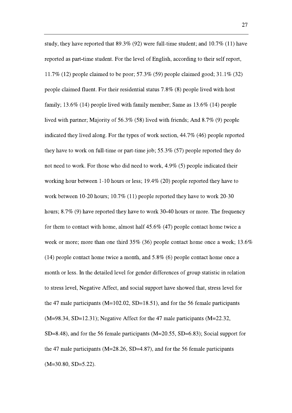study, they have reported that  $89.3\%$  (92) were full-time student; and  $10.7\%$  (11) have reported as part-time student. For the level of English, according to their self report, 11.7% (12) people claimed to be poor; 57.3% (59) people claimed good;  $31.1\%$  (32) people claimed fluent. For their residential status  $7.8\%$  (8) people lived with host family; 13.6% (14) people lived with family member; Same as  $13.6\%$  (14) people lived with partner; Majority of 56.3% (58) lived with friends; And  $8.7\%$  (9) people indicated they lived along. For the types of work section, 44.7% (46) people reported they have to work on full-time or part-time job;  $55.3\%$  (57) people reported they do not need to work. For those who did need to work, 4.9% (5) people indicated their working hour between 1-10 hours or less;  $19.4\%$  (20) people reported they have to work between 10-20 hours;  $10.7\%$  (11) people reported they have to work 20-30 hours; 8.7% (9) have reported they have to work 30-40 hours or more. The frequency for them to contact with home, almost half  $45.6\%$  (47) people contact home twice a week or more; more than one third  $35\%$  (36) people contact home once a week; 13.6%  $(14)$  people contact home twice a month, and 5.8% (6) people contact home once a month or less. In the detailed level for gender differences of group statistic in relation to stress level, Negative Affect, and social support have showed that, stress level for the 47 male participants ( $M=102.02$ , SD=18.51), and for the 56 female participants  $(M=98.34, SD=12.31)$ ; Negative Affect for the 47 male participants  $(M=22.32,$  $SD=8.48$ ), and for the 56 female participants (M=20.55, SD=6.83); Social support for the 47 male participants ( $M=28.26$ , SD=4.87), and for the 56 female participants  $(M=30.80, SD=5.22).$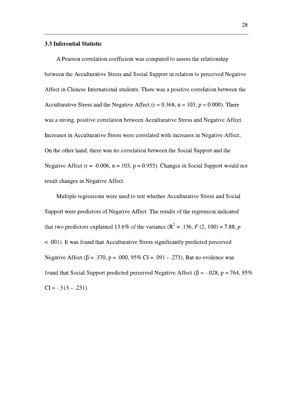#### **3.3 Inferential Statistic**

A Pearson correlation coefficient was computed to assess the relationship between the Acculturative Stress and Social Support in relation to perceived Negative Affect in Chinese International students. There was a positive correlation between the Acculturative Stress and the Negative Affect ( $r = 0.368$ ,  $n = 103$ ,  $p = 0.000$ ). There was a strong, positive correlation between Acculturative Stress and Negative Affect. Increases in Acculturative Stress were correlated with increases in Negative Affect; On the other hand, there was no correlation between the Social Support and the Negative Affect ( $r = -0.006$ ,  $n = 103$ ,  $p = 0.955$ ). Changes in Social Support would not result changes in Negative Affect.

Multiple regressions were used to test whether Acculturative Stress and Social Support were predictors of Negative Affect. The results of the regression indicated that two predictors explained 13.6% of the variance  $(R^2 = .136, F(2, 100) = 7.88, p$ < .001). It was found that Acculturative Stress significantly predicted perceived Negative Affect ( $\beta$  = .370, p = .000, 95% CI = .091 - .273); But no evidence was found that Social Support predicted perceived Negative Affect ( $\beta$  = -.028, p =.764, 95%  $CI = -.313 - .231$ .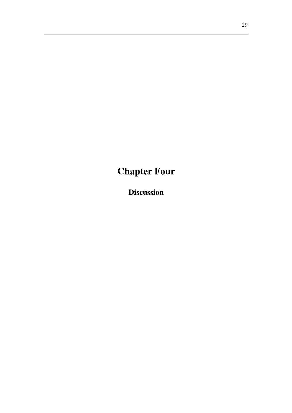# **Chapter Four**

**Discussion**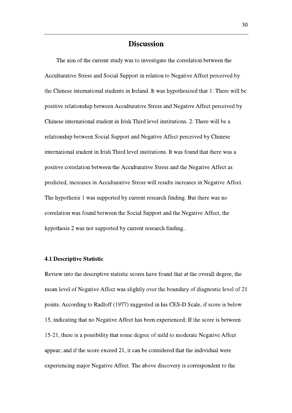### **Discussion**

The aim of the current study was to investigate the correlation between the Acculturative Stress and Social Support in relation to Negative Affect perceived by the Chinese international students in Ireland. It was hypothesized that 1: There will be positive relationship between Acculturative Stress and Negative Affect perceived by Chinese international student in Irish Third level institutions. 2: There will be a relationship between Social Support and Negative Affect perceived by Chinese international student in Irish Third level institutions. It was found that there was a positive correlation between the Acculturative Stress and the Negative Affect as predicted, increases in Acculturative Stress will results increases in Negative Affect. The hypothesis 1 was supported by current research finding. But there was no correlation was found between the Social Support and the Negative Affect, the hypothesis 2 was not supported by current research finding...

#### **4.1 Descriptive Statistic**

Review into the descriptive statistic scores have found that at the overall degree, the mean level of Negative Affect was slightly over the boundary of diagnostic level of 21 points. According to Radloff (1977) suggested in his CES-D Scale, if score is below 15, indicating that no Negative Affect has been experienced; If the score is between 15-21, there is a possibility that some degree of mild to moderate Negative Affect appear; and if the score exceed 21, it can be considered that the individual were experiencing major Negative Affect. The above discovery is correspondent to the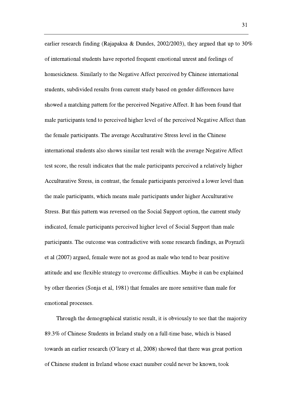earlier research finding (Rajapaksa & Dundes, 2002/2003), they argued that up to 30% of international students have reported frequent emotional unrest and feelings of homesickness. Similarly to the Negative Affect perceived by Chinese international students, subdivided results from current study based on gender differences have showed a matching pattern for the perceived Negative Affect. It has been found that male participants tend to perceived higher level of the perceived Negative Affect than the female participants. The average Acculturative Stress level in the Chinese international students also shows similar test result with the average Negative Affect test score, the result indicates that the male participants perceived a relatively higher Acculturative Stress, in contrast, the female participants perceived a lower level than the male participants, which means male participants under higher Acculturative Stress. But this pattern was reversed on the Social Support option, the current study indicated, female participants perceived higher level of Social Support than male participants. The outcome was contradictive with some research findings, as Poyrazli et al (2007) argued, female were not as good as male who tend to bear positive attitude and use flexible strategy to overcome difficulties. Maybe it can be explained by other theories (Sonja et al, 1981) that females are more sensitive than male for emotional processes.

Through the demographical statistic result, it is obviously to see that the majority 89.3% of Chinese Students in Ireland study on a full-time base, which is biased towards an earlier research (O'leary et al, 2008) showed that there was great portion of Chinese student in Ireland whose exact number could never be known, took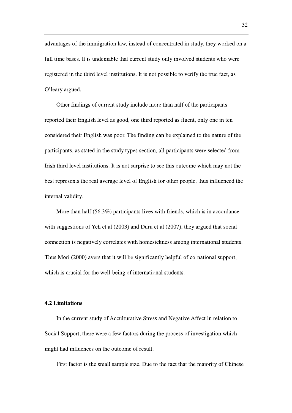advantages of the immigration law, instead of concentrated in study, they worked on a full time bases. It is undeniable that current study only involved students who were registered in the third level institutions. It is not possible to verify the true fact, as O'leary argued.

Other findings of current study include more than half of the participants reported their English level as good, one third reported as fluent, only one in ten considered their English was poor. The finding can be explained to the nature of the participants, as stated in the study types section, all participants were selected from Irish third level institutions. It is not surprise to see this outcome which may not the best represents the real average level of English for other people, thus influenced the internal validity.

More than half  $(56.3\%)$  participants lives with friends, which is in accordance with suggestions of Yeh et al (2003) and Duru et al (2007), they argued that social connection is negatively correlates with homesickness among international students. Thus Mori (2000) avers that it will be significantly helpful of co-national support, which is crucial for the well-being of international students.

#### **4.2 Limitations**

In the current study of Acculturative Stress and Negative Affect in relation to Social Support, there were a few factors during the process of investigation which might had influences on the outcome of result.

First factor is the small sample size. Due to the fact that the majority of Chinese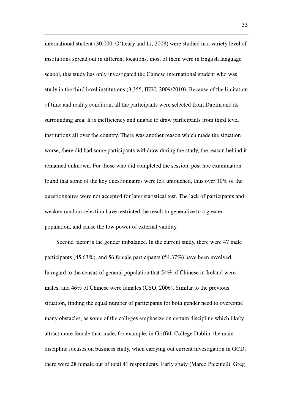international student (30,000, O'Leary and Li, 2008) were studied in a variety level of institutions spread out in different locations, most of them were in English language school, this study has only investigated the Chinese international student who was study in the third level institutions  $(3.355, IEBI, 2009/2010)$ . Because of the limitation of time and reality condition, all the participants were selected from Dublin and its surrounding area. It is inefficiency and unable to draw participants from third level institutions all over the country. There was another reason which made the situation worse, there did had some participants withdraw during the study, the reason behind it remained unknown. For those who did completed the session, post hoc examination found that some of the key questionnaires were left untouched, thus over 10% of the questionnaires were not accepted for later statistical test. The lack of participants and weaken random selection have restricted the result to generalize to a greater population, and cause the low power of external validity.

Second factor is the gender imbalance. In the current study, there were 47 male participants  $(45.63\%)$ , and 56 female participants  $(54.37\%)$  have been involved. In regard to the census of general population that 54% of Chinese in Ireland were males, and 46% of Chinese were females (CSO, 2006). Similar to the previous situation, finding the equal number of participants for both gender need to overcome many obstacles, as some of the colleges emphasize on certain discipline which likely attract more female than male, for example: in Griffith College Dublin, the main discipline focuses on business study, when carrying out current investigation in GCD, there were 28 female out of total 41 respondents. Early study (Marco Piccinelli, Greg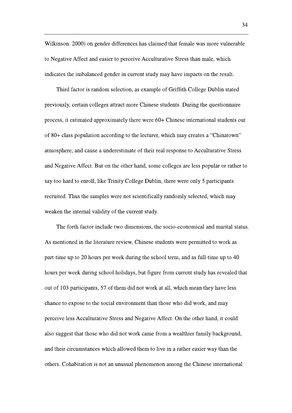Wilkinson. 2000) on gender differences has claimed that female was more vulnerable to Negative Affect and easier to perceive Acculturative Stress than male, which indicates the imbalanced gender in current study may have impacts on the result.

Third factor is random selection, as example of Griffith College Dublin stated previously, certain colleges attract more Chinese students. During the questionnaire process, it estimated approximately there were 60+ Chinese international students out of 80+ class population according to the lecturer, which may creates a "Chinatown" atmosphere, and cause a underestimate of their real response to Acculturative Stress and Negative Affect. But on the other hand, some colleges are less popular or rather to say too hard to enroll, like Trinity College Dublin, there were only 5 participants recruited. Thus the samples were not scientifically randomly selected, which may weaken the internal validity of the current study.

The forth factor include two dimensions, the socio-economical and marital status. As mentioned in the literature review, Chinese students were permitted to work as part-time up to 20 hours per week during the school term, and as full-time up to 40 hours per week during school holidays, but figure from current study has revealed that out of 103 participants, 57 of them did not work at all, which mean they have less chance to expose to the social environment than those who did work, and may perceive less Acculturative Stress and Negative Affect. On the other hand, it could also suggest that those who did not work came from a wealthier family background, and their circumstances which allowed them to live in a rather easier way than the others. Cohabitation is not an unusual phenomenon among the Chinese international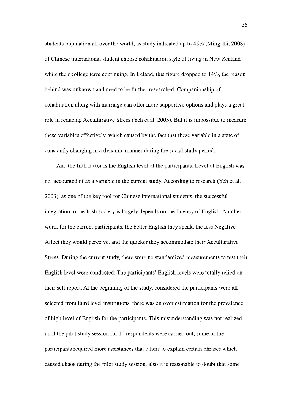students population all over the world, as study indicated up to 45% (Ming, Li, 2008) of Chinese international student choose cohabitation style of living in New Zealand while their college term continuing. In Ireland, this figure dropped to  $14\%$ , the reason behind was unknown and need to be further researched. Companionship of cohabitation along with marriage can offer more supportive options and plays a great role in reducing Acculturative Stress (Yeh et al. 2003). But it is impossible to measure these variables effectively, which caused by the fact that these variable in a state of constantly changing in a dynamic manner during the social study period.

And the fifth factor is the English level of the participants. Level of English was not accounted of as a variable in the current study. According to research (Yeh et al, 2003), as one of the key tool for Chinese international students, the successful integration to the Irish society is largely depends on the fluency of English. Another word, for the current participants, the better English they speak, the less Negative Affect they would perceive, and the quicker they accommodate their Acculturative Stress. During the current study, there were no standardized measurements to test their English level were conducted; The participants' English levels were totally relied on their self report. At the beginning of the study, considered the participants were all selected from third level institutions, there was an over estimation for the prevalence of high level of English for the participants. This misunderstanding was not realized until the pilot study session for 10 respondents were carried out, some of the participants required more assistances that others to explain certain phrases which caused chaos during the pilot study session, also it is reasonable to doubt that some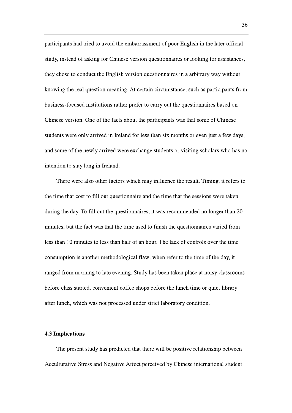participants had tried to avoid the embarrassment of poor English in the later official study, instead of asking for Chinese version questionnaires or looking for assistances, they chose to conduct the English version questionnaires in a arbitrary way without knowing the real question meaning. At certain circumstance, such as participants from business-focused institutions rather prefer to carry out the questionnaires based on Chinese version. One of the facts about the participants was that some of Chinese students were only arrived in Ireland for less than six months or even just a few days, and some of the newly arrived were exchange students or visiting scholars who has no intention to stay long in Ireland.

There were also other factors which may influence the result. Timing, it refers to the time that cost to fill out questionnaire and the time that the sessions were taken during the day. To fill out the questionnaires, it was recommended no longer than 20 minutes, but the fact was that the time used to finish the question aires varied from less than 10 minutes to less than half of an hour. The lack of controls over the time consumption is another methodological flaw; when refer to the time of the day, it ranged from morning to late evening. Study has been taken place at noisy classrooms before class started, convenient coffee shops before the lunch time or quiet library after lunch, which was not processed under strict laboratory condition.

#### **4.3 Implications**

The present study has predicted that there will be positive relationship between Acculturative Stress and Negative Affect perceived by Chinese international student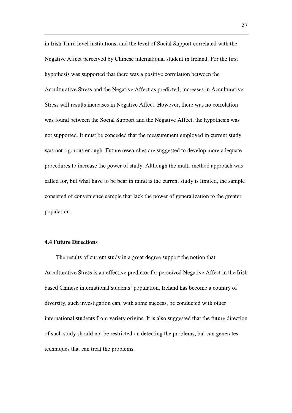in Irish Third level institutions, and the level of Social Support correlated with the Negative Affect perceived by Chinese international student in Ireland. For the first hypothesis was supported that there was a positive correlation between the Acculturative Stress and the Negative Affect as predicted, increases in Acculturative Stress will results increases in Negative Affect. However, there was no correlation was found between the Social Support and the Negative Affect, the hypothesis was not supported. It must be conceded that the measurement employed in current study was not rigorous enough. Future researches are suggested to develop more adequate procedures to increase the power of study. Although the multi-method approach was called for, but what have to be bear in mind is the current study is limited, the sample consisted of convenience sample that lack the power of generalization to the greater population.

#### **4.4 Future Directions**

The results of current study in a great degree support the notion that Acculturative Stress is an effective predictor for perceived Negative Affect in the Irish based Chinese international students' population. Ireland has become a country of diversity, such investigation can, with some success, be conducted with other international students from variety origins. It is also suggested that the future direction of such study should not be restricted on detecting the problems, but can generates techniques that can treat the problems.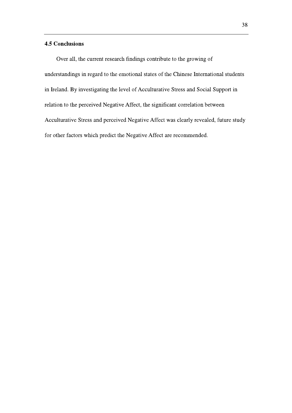#### **4.5 Conclusions**

Over all, the current research findings contribute to the growing of understandings in regard to the emotional states of the Chinese International students in Ireland. By investigating the level of Acculturative Stress and Social Support in relation to the perceived Negative Affect, the significant correlation between Acculturative Stress and perceived Negative Affect was clearly revealed, future study for other factors which predict the Negative Affect are recommended.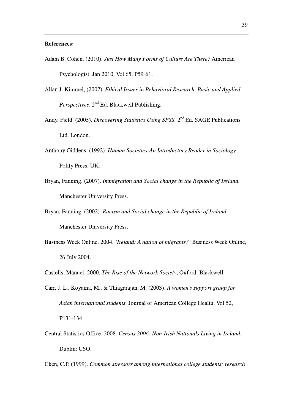#### **References:**

- Adam B. Cohen. (2010). Just How Many Forms of Culture Are There? American Psychologist. Jan 2010. Vol 65. P59-61.
- Allan J. Kimmel, (2007). Ethical Issues in Behavioral Research. Basic and Applied *Perspectives.* 2<sup>nd</sup> Ed. Blackwell Publishing.
- Andy, Field. (2005). Discovering Statistics Using SPSS. 2<sup>nd</sup> Ed. SAGE Publications Ltd. London.
- Anthony Giddens, (1992). Human Societies-An Introductory Reader in Sociology. Polity Press. UK.
- Bryan, Fanning. (2007). Immigration and Social change in the Republic of Ireland. Manchester University Press.
- Bryan, Fanning. (2002). Racism and Social change in the Republic of Ireland. Manchester University Press.
- Business Week Online. 2004. 'Ireland: A nation of migrants?' Business Week Online, 26 July 2004.
- Castells, Manuel. 2000. The Rise of the Network Society, Oxford: Blackwell.
- Carr, J. L., Koyama, M., & Thiagarajan, M. (2003). A women's support group for Asian international students. Journal of American College Health, Vol 52, P131-134.
- Central Statistics Office. 2008. Census 2006: Non-Irish Nationals Living in Ireland. Dublin: CSO.
- Chen, C.P. (1999). Common stressors among international college students: research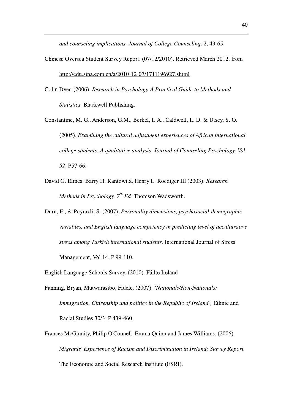and counseling implications. Journal of College Counseling, 2, 49-65.

- Chinese Oversea Student Survey Report. (07/12/2010). Retrieved March 2012, from http://edu.sina.com.cn/a/2010-12-07/1711196927.shtml
- Colin Dyer. (2006). Research in Psychology-A Practical Guide to Methods and Statistics. Blackwell Publishing.
- Constantine, M. G., Anderson, G.M., Berkel, L.A., Caldwell, L.D. & Utsey, S.O. (2005). Examining the cultural adjustment experiences of African international college students: A qualitative analysis. Journal of Counseling Psychology, Vol 52, P57-66.
- David G. Elmes. Barry H. Kantowitz, Henry L. Roediger III (2003). Research Methods in Psychology.  $7<sup>th</sup> Ed$ . Thomson Wadsworth.
- Duru, E., & Poyrazli, S. (2007). Personality dimensions, psychosocial-demographic variables, and English language competency in predicting level of acculturative stress among Turkish international students. International Journal of Stress Management, Vol 14, P 99-110.
- English Language Schools Survey. (2010). Fáilte Ireland
- Fanning, Bryan, Mutwarasibo, Fidele. (2007). 'Nationals/Non-Nationals: Immigration, Citizenship and politics in the Republic of Ireland', Ethnic and Racial Studies 30/3: P 439-460.
- Frances McGinnity, Philip O'Connell, Emma Quinn and James Williams. (2006). Migrants' Experience of Racism and Discrimination in Ireland: Survey Report. The Economic and Social Research Institute (ESRI).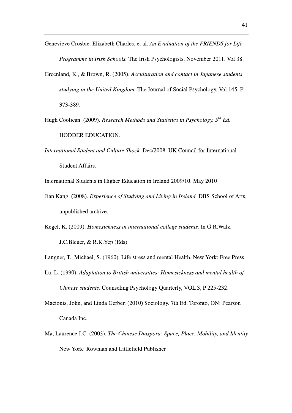- Genevieve Crosbie. Elizabeth Charles, et al. An Evaluation of the FRIENDS for Life Programme in Irish Schools. The Irish Psychologists. November 2011. Vol 38.
- Greenland, K., & Brown, R. (2005). Acculturation and contact in Japanese students studying in the United Kingdom. The Journal of Social Psychology, Vol 145, P 373-389.
- Hugh Coolican. (2009). Research Methods and Statistics in Psychology.  $5^{th}$  Ed. HODDER EDUCATION.
- International Student and Culture Shock. Dec/2008. UK Council for International Student Affairs.

International Students in Higher Education in Ireland 2009/10. May 2010

- Jian Kang. (2008). *Experience of Studying and Living in Ireland*. DBS School of Arts, unpublished archive.
- Kegel, K. (2009). Homesickness in international college students. In G.R.Walz,

J.C.Bleuer,  $& R.K. Yep$  (Eds)

Langner, T., Michael, S. (1960). Life stress and mental Health. New York: Free Press.

- Lu, L. (1990). Adaptation to British universities: Homesickness and mental health of Chinese students. Counseling Psychology Quarterly, VOL 3, P 225-232.
- Macionis, John, and Linda Gerber. (2010) Sociology. 7th Ed. Toronto, ON: Pearson Canada Inc.
- Ma, Laurence J.C. (2003). The Chinese Diaspora: Space, Place, Mobility, and Identity. New York: Rowman and Littlefield Publisher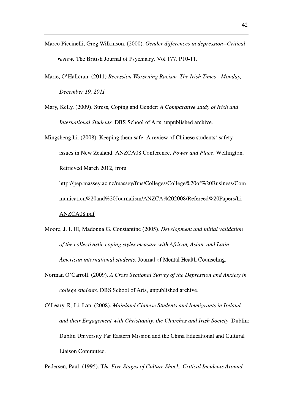- Marco Piccinelli, Greg Wilkinson. (2000). Gender differences in depression--Critical review. The British Journal of Psychiatry. Vol 177. P10-11.
- Marie, O'Halloran. (2011) Recession Worsening Racism. The Irish Times Monday, December 19, 2011
- Mary, Kelly. (2009). Stress, Coping and Gender: A Comparative study of Irish and International Students. DBS School of Arts, unpublished archive.
- Mingsheng Li. (2008). Keeping them safe: A review of Chinese students' safety issues in New Zealand. ANZCA08 Conference, Power and Place. Wellington. Retrieved March 2012, from http://pep.massey.ac.nz/massey/fms/Colleges/College%20of%20Business/Com

munication%20and%20Journalism/ANZCA%202008/Refereed%20Papers/Li\_ ANZCA08.pdf

- Moore, J. L III, Madonna G. Constantine (2005). Development and initial validation of the collectivistic coping styles measure with African, Asian, and Latin American international students. Journal of Mental Health Counseling.
- Norman O'Carroll. (2009). A Cross Sectional Survey of the Depression and Anxiety in college students. DBS School of Arts, unpublished archive.
- O'Leary, R. Li, Lan. (2008). Mainland Chinese Students and Immigrants in Ireland and their Engagement with Christianity, the Churches and Irish Society. Dublin: Dublin University Far Eastern Mission and the China Educational and Cultural Liaison Committee.

Pedersen, Paul. (1995). The Five Stages of Culture Shock: Critical Incidents Around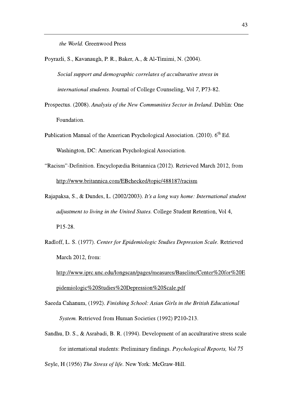the World. Greenwood Press

- Poyrazli, S., Kavanaugh, P. R., Baker, A., & Al-Timimi, N. (2004). Social support and demographic correlates of acculturative stress in *international students.* Journal of College Counseling, Vol 7, P73-82.
- Prospectus. (2008). Analysis of the New Communities Sector in Ireland. Dublin: One Foundation.
- Publication Manual of the American Psychological Association. (2010). 6<sup>th</sup> Ed. Washington, DC: American Psychological Association.
- "Racism"-Definition. Encyclopædia Britannica (2012). Retrieved March 2012, from http://www.britannica.com/EBchecked/topic/488187/racism
- Rajapaksa, S., & Dundes, L. (2002/2003). It's a long way home: International student adjustment to living in the United States. College Student Retention, Vol 4, P15-28.
- Radloff, L. S. (1977). Center for Epidemiologic Studies Depression Scale. Retrieved March 2012, from:

http://www.iprc.unc.edu/longscan/pages/measures/Baseline/Center%20for%20E pidemiologic%20Studies%20Depression%20Scale.pdf

- Saeeda Cahanum, (1992). Finishing School: Asian Girls in the British Educational System. Retrieved from Human Societies (1992) P210-213.
- Sandhu, D. S., & Asrabadi, B. R. (1994). Development of an acculturative stress scale for international students: Preliminary findings. Psychological Reports, Vol 75 Seyle, H (1956) The Stress of life. New York: McGraw-Hill.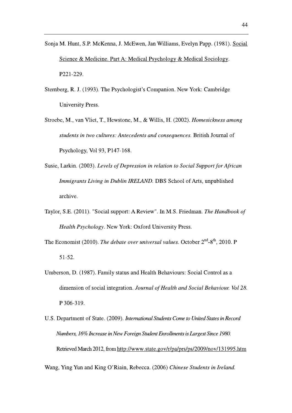- Sonja M. Hunt, S.P. McKenna, J. McEwen, Jan Williams, Evelyn Papp. (1981). Social Science & Medicine. Part A: Medical Psychology & Medical Sociology. P221-229.
- Sternberg, R. J. (1993). The Psychologist's Companion. New York: Cambridge University Press.
- Stroebe, M., van Vliet, T., Hewstone, M., & Willis, H. (2002). Homesickness among students in two cultures: Antecedents and consequences. British Journal of Psychology, Vol 93, P147-168.
- Susie, Larkin. (2003). Levels of Depression in relation to Social Support for African Immigrants Living in Dublin IRELAND. DBS School of Arts, unpublished archive.
- Taylor, S.E. (2011). "Social support: A Review". In M.S. Friedman. The Handbook of Health Psychology. New York: Oxford University Press.
- The Economist (2010). The debate over universal values. October  $2^{nd}$ -8<sup>th</sup>, 2010. P  $51-52.$
- Umberson, D. (1987). Family status and Health Behaviours: Social Control as a dimension of social integration. Journal of Health and Social Behaviour. Vol 28. P 306-319.
- U.S. Department of State. (2009). International Students Come to United States in Record Numbers, 16% Increase in New Foreign Student Enrollments is Largest Since 1980. Retrieved March 2012, from http://www.state.gov/r/pa/prs/ps/2009/nov/131995.htm

Wang, Ying Yun and King O'Riain, Rebecca. (2006) Chinese Students in Ireland.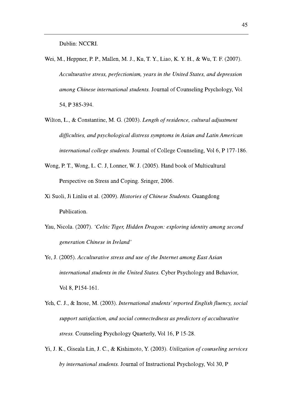Dublin: NCCRI.

- Wei, M., Heppner, P. P., Mallen, M. J., Ku, T. Y., Liao, K. Y. H., & Wu, T. F. (2007). Acculturative stress, perfectionism, years in the United States, and depression among Chinese international students. Journal of Counseling Psychology, Vol 54, P 385-394.
- Wilton, L., & Constantine, M. G. (2003). Length of residence, cultural adjustment difficulties, and psychological distress symptoms in Asian and Latin American international college students. Journal of College Counseling, Vol 6, P 177-186.
- Wong, P. T., Wong, L. C. J, Lonner, W. J. (2005). Hand book of Multicultural Perspective on Stress and Coping. Sringer, 2006.
- Xi Suoli, Ji Linliu et al. (2009). Histories of Chinese Students. Guangdong Publication.
- Yau, Nicola. (2007). 'Celtic Tiger, Hidden Dragon: exploring identity among second generation Chinese in Ireland'
- Ye, J. (2005). Acculturative stress and use of the Internet among East Asian international students in the United States. Cyber Psychology and Behavior, Vol 8, P154-161.
- Yeh, C. J., & Inose, M. (2003). International students' reported English fluency, social support satisfaction, and social connectedness as predictors of acculturative stress. Counseling Psychology Quarterly, Vol 16, P 15-28.
- Yi, J. K., Giseala Lin, J. C., & Kishimoto, Y. (2003). Utilization of counseling services by international students. Journal of Instructional Psychology, Vol 30, P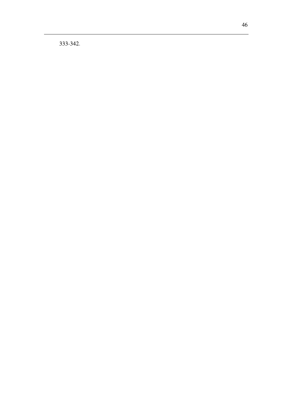333-342.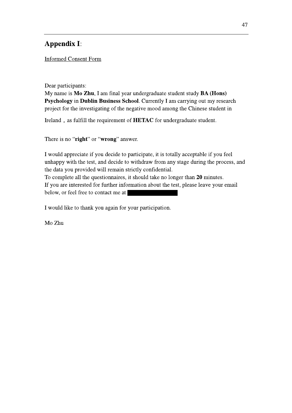## **Appendix I:**

**Informed Consent Form** 

Dear participants:

My name is Mo Zhu, I am final year undergraduate student study BA (Hons) Psychology in Dublin Business School. Currently I am carrying out my research project for the investigating of the negative mood among the Chinese student in

Ireland, as fulfill the requirement of HETAC for undergraduate student.

There is no "right" or "wrong" answer.

I would appreciate if you decide to participate, it is totally acceptable if you feel unhappy with the test, and decide to withdraw from any stage during the process, and the data you provided will remain strictly confidential. To complete all the questionnaires, it should take no longer than 20 minutes. If you are interested for further information about the test, please leave your email below, or feel free to contact me at

I would like to thank you again for your participation.

Mo Zhu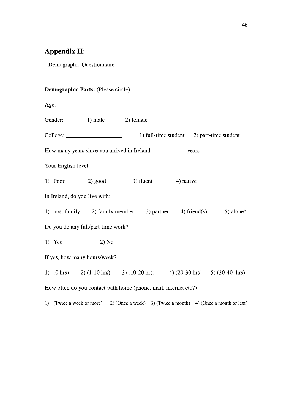## **Appendix II:**

Demographic Questionnaire

#### Demographic Facts: (Please circle)

 $Age:$ 

Gender:  $1)$  male 2) female

 $\text{Collect:}\n$ 2) part-time student 1) full-time student

How many years since you arrived in Ireland: \_\_\_\_\_\_\_\_\_\_\_\_\_\_\_\_ years

Your English level:

1) Poor  $2)$  good 3) fluent 4) native

In Ireland, do you live with:

1) host family 2) family member 3) partner  $4)$  friend(s) 5) alone?

Do you do any full/part-time work?

 $1)$  Yes  $2) No$ 

If yes, how many hours/week?

1)  $(0 \text{ hrs})$  $2)$  (1-10 hrs)  $3)$  (10-20 hrs)  $(20-30)$  hrs 5)  $(30-40+hrs)$ 

How often do you contact with home (phone, mail, internet etc?)

1) (Twice a week or more) 2) (Once a week) 3) (Twice a month) 4) (Once a month or less)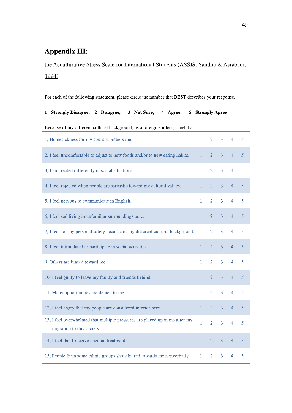## **Appendix III:**

the Acculturative Stress Scale for International Students (ASSIS: Sandhu & Asrabadi, 1994)

For each of the following statement, please circle the number that BEST describes your response.

1= Strongly Disagree, 2= Disagree, 3= Not Sure, 5= Strongly Agree  $4 = \text{Agree},$ 

Because of my different cultural background, as a foreign student, I feel that:

| 1, Homesickness for my country bothers me.                                                               | 1            | $\overline{2}$ | 3              | $\overline{4}$ | 5 |
|----------------------------------------------------------------------------------------------------------|--------------|----------------|----------------|----------------|---|
| 2, I feel uncomfortable to adjust to new foods and/or to new eating habits.                              | $\mathbf{1}$ | $\overline{2}$ | 3              | $\overline{4}$ | 5 |
| 3, I am treated differently in social situations.                                                        | 1            | $\overline{2}$ | 3              | $\overline{4}$ | 5 |
| 4, I feel rejected when people are sarcastic toward my cultural values.                                  | $\mathbf{1}$ | $\overline{2}$ | 3              | $\overline{4}$ | 5 |
| 5, I feel nervous to communicate in English.                                                             | 1            | $\overline{2}$ | 3              | $\overline{4}$ | 5 |
| 6, I feel sad living in unfamiliar surroundings here.                                                    | $\mathbf{1}$ | $\overline{2}$ | 3              | $\overline{4}$ | 5 |
| 7, I fear for my personal safety because of my different cultural background.                            | $\mathbf{1}$ | $\overline{2}$ | 3              | $\overline{4}$ | 5 |
| 8, I feel intimidated to participate in social activities                                                | $\mathbf{1}$ | $\overline{2}$ | 3              | $\overline{4}$ | 5 |
| 9, Others are biased toward me.                                                                          | $\mathbf{1}$ | $\overline{2}$ | 3              | $\overline{4}$ | 5 |
| 10, I feel guilty to leave my family and friends behind.                                                 | $\mathbf{1}$ | $\overline{2}$ | $\overline{3}$ | $\overline{4}$ | 5 |
| 11, Many opportunities are denied to me.                                                                 | $\mathbf{1}$ | $\overline{2}$ | 3              | $\overline{4}$ | 5 |
| 12, I feel angry that my people are considered inferior here.                                            | $\mathbf{1}$ | $\overline{2}$ | 3              | $\overline{4}$ | 5 |
| 13, I feel overwhelmed that multiple pressures are placed upon me after my<br>migration to this society. | 1            | $\overline{2}$ | 3              | $\overline{4}$ | 5 |
| 14, I feel that I receive unequal treatment.                                                             | $\mathbf{1}$ | $\overline{2}$ | 3              | $\overline{4}$ | 5 |
| 15, People from some ethnic groups show hatred towards me nonverbally.                                   | $\mathbf{1}$ | $\overline{2}$ | 3              | 4              | 5 |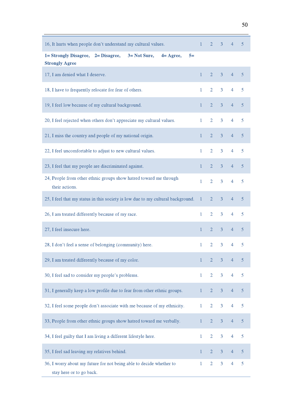| 16, It hurts when people don't understand my cultural values.                                             | $\mathbf{1}$ | $\overline{2}$ | $\overline{3}$ | $\overline{4}$           | 5              |
|-----------------------------------------------------------------------------------------------------------|--------------|----------------|----------------|--------------------------|----------------|
| 1= Strongly Disagree, 2= Disagree,<br>3= Not Sure,<br>$4= \text{Agree},$<br>$5=$<br><b>Strongly Agree</b> |              |                |                |                          |                |
| 17, I am denied what I deserve.                                                                           | $\mathbf{1}$ | 2 <sup>1</sup> | $\mathbf{3}$   | $\overline{4}$           | -5             |
| 18, I have to frequently relocate for fear of others.                                                     | $\mathbf{1}$ | $\overline{2}$ | 3              | $\overline{4}$           | 5              |
| 19, I feel low because of my cultural background.                                                         | $\mathbf{1}$ | $\overline{2}$ | $\overline{3}$ | $\overline{4}$           | 5              |
| 20, I feel rejected when others don't appreciate my cultural values.                                      | $\mathbf{1}$ | $\overline{2}$ | 3              | $\overline{4}$           | 5              |
| 21, I miss the country and people of my national origin.                                                  | $\mathbf{1}$ | $\overline{2}$ | 3              | $\overline{4}$           | 5              |
| 22, I feel uncomfortable to adjust to new cultural values.                                                | $\mathbf{1}$ | $\overline{2}$ | $\mathbf{3}$   | $\overline{4}$           | 5              |
| 23, I feel that my people are discriminated against.                                                      | $\mathbf{1}$ | $\overline{2}$ | $\mathbf{3}$   | $\overline{4}$           | $\overline{5}$ |
| 24, People from other ethnic groups show hatred toward me through<br>their actions.                       | 1            | $\overline{2}$ | $\mathbf{3}$   | $\overline{\mathcal{A}}$ | 5              |
| 25, I feel that my status in this society is low due to my cultural background.                           | $\mathbf{1}$ | $\overline{2}$ | $\mathfrak{Z}$ | $\overline{4}$           | 5              |
| 26, I am treated differently because of my race.                                                          | $\mathbf{1}$ | $\overline{2}$ | 3              | $\overline{4}$           | 5              |
| 27, I feel insecure here.                                                                                 | $\mathbf{1}$ | $\overline{2}$ | $\mathfrak{Z}$ | $\overline{4}$           | 5              |
| 28, I don't feel a sense of belonging (community) here.                                                   | $\mathbf{1}$ | $\overline{2}$ | 3              | 4                        | 5              |
| 29, I am treated differently because of my color.                                                         | 1            | $\overline{2}$ | $\overline{3}$ | $\overline{4}$           | 5              |
| 30, I feel sad to consider my people's problems.                                                          | 1            | $\overline{2}$ | 3              | $\overline{4}$           | 5              |
| 31, I generally keep a low profile due to fear from other ethnic groups.                                  | $\mathbf{1}$ | $\overline{2}$ | $\mathfrak{Z}$ | $\overline{4}$           | 5              |
| 32, I feel some people don't associate with me because of my ethnicity.                                   | $\mathbf{1}$ | $\overline{2}$ | 3              | $\overline{4}$           | 5              |
| 33, People from other ethnic groups show hatred toward me verbally.                                       | $\mathbf{1}$ | $\overline{2}$ | 3              | $\overline{4}$           | 5              |
| 34, I feel guilty that I am living a different lifestyle here.                                            | $\mathbf{1}$ | $\overline{2}$ | $\overline{3}$ | $\overline{4}$           | 5              |
| 35, I feel sad leaving my relatives behind.                                                               | $\mathbf{1}$ | $\overline{2}$ | $\mathfrak{Z}$ | $\overline{4}$           | 5              |
| 36, I worry about my future for not being able to decide whether to<br>stay here or to go back.           | 1            | $\overline{2}$ | 3              | $\overline{4}$           | 5              |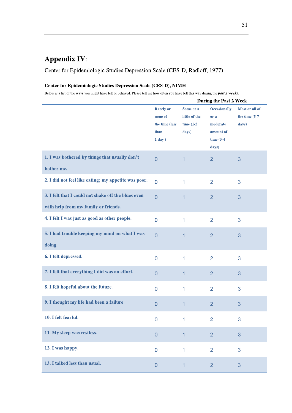## **Appendix IV:**

### Center for Epidemiologic Studies Depression Scale (CES-D, Radloff, 1977)

#### Center for Epidemiologic Studies Depression Scale (CES-D), NIMH

Below is a list of the ways you might have felt or behaved. Please tell me how often you have felt this way during the **past 2 weeks**.

|                                                                                             |                                                                      | <b>During the Past 2 Week</b>                       |                                                                               |                                             |  |  |
|---------------------------------------------------------------------------------------------|----------------------------------------------------------------------|-----------------------------------------------------|-------------------------------------------------------------------------------|---------------------------------------------|--|--|
|                                                                                             | <b>Rarely or</b><br>none of<br>the time (less<br>than<br>$1$ day $)$ | Some or a<br>little of the<br>time $(1-2)$<br>days) | <b>Occasionally</b><br>or a<br>moderate<br>amount of<br>time $(3-4)$<br>days) | Most or all of<br>the time $(5-7)$<br>days) |  |  |
| 1. I was bothered by things that usually don't<br>bother me.                                | $\overline{0}$                                                       | 1                                                   | $\overline{2}$                                                                | 3                                           |  |  |
| 2. I did not feel like eating; my appetite was poor.                                        | $\overline{0}$                                                       | 1                                                   | $\overline{2}$                                                                | 3                                           |  |  |
| 3. I felt that I could not shake off the blues even<br>with help from my family or friends. | $\overline{0}$                                                       | 1                                                   | $\overline{2}$                                                                | 3                                           |  |  |
| 4. I felt I was just as good as other people.                                               | $\overline{0}$                                                       | 1                                                   | $\overline{2}$                                                                | 3                                           |  |  |
| 5. I had trouble keeping my mind on what I was<br>doing.                                    | $\overline{0}$                                                       | 1                                                   | $\overline{2}$                                                                | 3                                           |  |  |
| 6. I felt depressed.                                                                        | $\overline{0}$                                                       | 1                                                   | $\overline{2}$                                                                | 3                                           |  |  |
| 7. I felt that everything I did was an effort.                                              | $\overline{0}$                                                       | $\mathbf 1$                                         | $\overline{2}$                                                                | 3                                           |  |  |
| 8. I felt hopeful about the future.                                                         | $\overline{0}$                                                       | 1                                                   | $\overline{2}$                                                                | 3                                           |  |  |
| 9. I thought my life had been a failure                                                     | $\overline{0}$                                                       | 1                                                   | $\overline{2}$                                                                | 3                                           |  |  |
| 10. I felt fearful.                                                                         | $\mathbf 0$                                                          | 1                                                   | $\overline{2}$                                                                | 3                                           |  |  |
| 11. My sleep was restless.                                                                  | $\overline{0}$                                                       | $\mathbf{1}$                                        | $\overline{2}$                                                                | 3                                           |  |  |
| 12. I was happy.                                                                            | $\overline{0}$                                                       | $\mathbf 1$                                         | $\overline{2}$                                                                | 3                                           |  |  |
| 13. I talked less than usual.                                                               | $\overline{0}$                                                       | $\mathbf{1}$                                        | $\overline{2}$                                                                | 3                                           |  |  |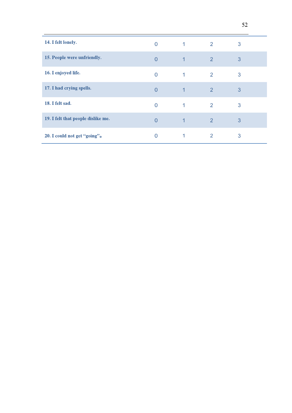| 14. I felt lonely.                 | O              |                | 2              | 3 |
|------------------------------------|----------------|----------------|----------------|---|
| 15. People were unfriendly.        | $\Omega$       | 1              | 2              | 3 |
| 16. I enjoyed life.                | $\Omega$       | 1              | 2              | 3 |
| 17. I had crying spells.           | $\overline{0}$ | $\overline{1}$ | $\overline{2}$ | 3 |
| 18. I felt sad.                    | $\Omega$       |                | 2              | 3 |
| 19. I felt that people dislike me. | $\Omega$       | 1              | $\overline{2}$ | 3 |
| 20. I could not get "going".       | 0              |                | 2              | 3 |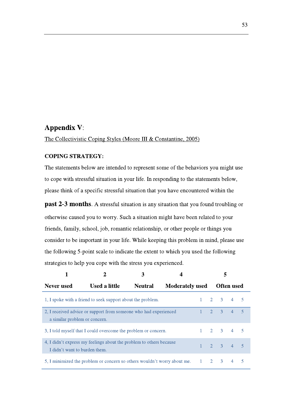### **Appendix V:**

The Collectivistic Coping Styles (Moore III & Constantine, 2005)

#### **COPING STRATEGY:**

The statements below are intended to represent some of the behaviors you might use to cope with stressful situation in your life. In responding to the statements below, please think of a specific stressful situation that you have encountered within the

**past 2-3 months.** A stressful situation is any situation that you found troubling or otherwise caused you to worry. Such a situation might have been related to your friends, family, school, job, romantic relationship, or other people or things you consider to be important in your life. While keeping this problem in mind, please use the following 5-point scale to indicate the extent to which you used the following strategies to help you cope with the stress you experienced.

|                               |                                                                          |                | 4                      |                     |                     |                |                |
|-------------------------------|--------------------------------------------------------------------------|----------------|------------------------|---------------------|---------------------|----------------|----------------|
| Never used                    | Used a little                                                            | <b>Neutral</b> | <b>Moderately used</b> |                     | Often used          |                |                |
|                               | 1, I spoke with a friend to seek support about the problem.              |                |                        |                     | $1 \t2 \t3 \t4 \t5$ |                |                |
| a similar problem or concern. | 2, I received advice or support from someone who had experienced         |                |                        |                     | $1 \t2 \t3$         | $\overline{4}$ | $\overline{5}$ |
|                               | 3, I told myself that I could overcome the problem or concern.           |                |                        |                     | $1 \t2 \t3 \t4 \t5$ |                |                |
| I didn't want to burden them. | 4, I didn't express my feelings about the problem to others because      |                |                        |                     | $1 \t2 \t3 \t4 \t5$ |                |                |
|                               | 5, I minimized the problem or concern so others wouldn't worry about me. |                |                        | $1 \quad 2 \quad 3$ |                     | $\overline{4}$ | $\sqrt{5}$     |

 $\epsilon$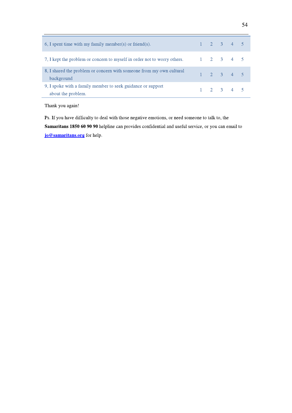| 6, I spent time with my family member(s) or friend(s).                             | $1 \t2 \t3 \t4 \t5$ |  |  |
|------------------------------------------------------------------------------------|---------------------|--|--|
| 7, I kept the problem or concern to myself in order not to worry others. 1 2 3 4 5 |                     |  |  |
| 8, I shared the problem or concern with someone from my own cultural<br>background | $1 \t2 \t3 \t4 \t5$ |  |  |
| 9, I spoke with a family member to seek guidance or support<br>about the problem.  | $1 \t2 \t3 \t4 \t5$ |  |  |

Thank you again!

Ps. If you have difficulty to deal with those negative emotions, or need someone to talk to, the Samaritans 1850 60 90 90 helpline can provides confidential and useful service, or you can email to jo@samaritans.org for help.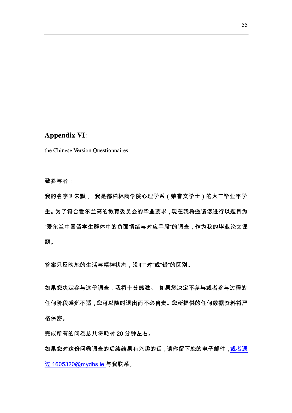### **Appendix VI:**

the Chinese Version Questionnaires

致参与者:

我的名字叫朱默, 我是都柏林商学院心理学系 (荣誉文学士) 的大三毕业年学 生。为了符合爱尔兰高的教育委员会的毕业要求,现在我将邀请您进行以题目为 "爱尔兰中国留学生群体中的负面情绪与对应手段"的调查,作为我的毕业论文课 题。

答案只反映您的生活与精神状态,没有"对"或"错"的区别。

如果您决定参与这份调查,我将十分感激。 如果您决定不参与或者参与过程的 任何阶段感觉不适,您可以随时退出而不必自责。您所提供的任何数据资料将严 格保密。

完成所有的问卷总共将耗时20分钟左右。

如果您对这份问卷调查的后续结果有兴趣的话,请你留下您的电子邮件,或者通 过 1605320@mydbs.ie 与我联系。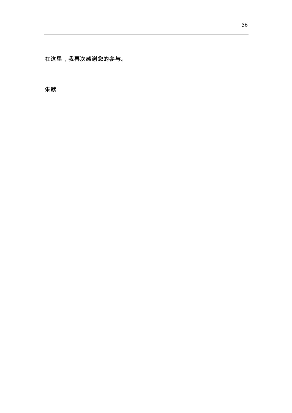在这里,我再次感谢您的参与。

朱默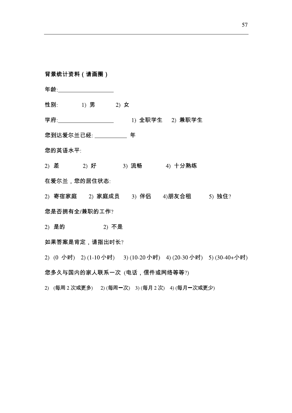#### 背景统计资料 (请画圈)

- 年龄: \_\_\_\_\_\_\_\_\_\_\_\_\_\_\_\_
- 性别: 1) 男 2) 女
- 学府: \_\_\_\_\_\_\_\_\_\_\_\_\_\_\_\_\_\_\_\_\_\_ 1) 全职学生 2) 兼职学生
- 您到达爱尔兰已经: 年
- 您的英语水平:
- 2) 差 2) 好 3) 流畅 4) 十分熟练
- 在爱尔兰,您的居住状态:
- 2) 寄宿家庭 2) 家庭成员 3) 伴侣 4)朋友合租 5) 独住? 您是否拥有全/兼职的工作?
- 2) 是的 2) 不是
- 如果答案是肯定,请指出时长?
- 2) (0 小时) 2) (1-10小时) 3) (10-20小时) 4) (20-30小时) 5) (30-40+小时) 您多久与国内的家人联系一次 (电话,信件或网络等等?)
- 2) (每周2次或更多) 2) (每周一次) 3) (每月2次) 4) (每月一次或更少)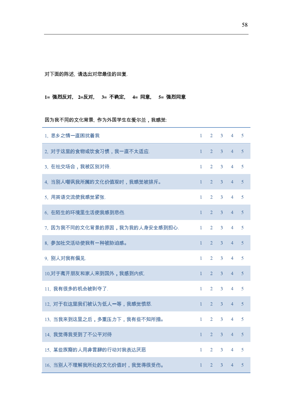对下面的陈述,请选出对您最佳的回复.

1= 强烈反对, 2=反对, 3= 不确定, 4= 同意, 5= 强烈同意

因为我不同的文化背景,作为外国学生在爱尔兰,我感觉:

| 1、思乡之情一直困扰着我                    | $\mathbf{1}$ |                      | $2 \quad 3$    | $\overline{4}$ | 5 |
|---------------------------------|--------------|----------------------|----------------|----------------|---|
| 2、对于这里的食物或饮食习惯,我一直不太适应.         | $\mathbf{1}$ | $\overline{2}$       | $\overline{3}$ | $\overline{4}$ | 5 |
| 3, 在社交场合, 我被区别对待.               | $\mathbf{1}$ | $\overline{2}$       | 3 <sup>1</sup> | $\overline{4}$ | 5 |
| 4, 当别人嘲讽我所属的文化价值观时,我感觉被排斥。      | $\mathbf{1}$ | $\overline{2}$       | $\overline{3}$ | $\overline{4}$ | 5 |
| 5. 用英语交流使我感觉紧张.                 | $\mathbf{1}$ | $\overline{2}$       | $\overline{3}$ | $\overline{4}$ | 5 |
| 6. 在陌生的环境里生活使我感到悲伤.             | 1            | $\overline{2}$       | 3              | $\overline{4}$ | 5 |
| 7, 因为我不同的文化背景的原因, 我为我的人身安全感到担心. | $\mathbf{1}$ | $\overline{2}$       | 3              | 4              | 5 |
| 8. 参加社交活动使我有一种被胁迫感。             | $\mathbf{1}$ | $\overline{2}$       | $\overline{3}$ | $\overline{4}$ | 5 |
| 9. 别人对我有偏见.                     | $\mathbf{1}$ | $\overline{2}$       | 3              | $\overline{4}$ | 5 |
| 10、对于离开朋友和家人来到国外,我感到内疚.         | $\mathbf{1}$ | $\overline{2}$       | 3              | $\overline{4}$ | 5 |
| 11. 我有很多的机会被剥夺了.                | $\mathbf{1}$ | $2^{\circ}$          | 3              | $\overline{4}$ | 5 |
| 12, 对于在这里我们被认为低人一等, 我感觉愤怒.      | $\mathbf{1}$ | $\overline{2}$       | $\mathbf{3}$   | $\overline{4}$ | 5 |
| 13, 当我来到这里之后,多重压力下,我有些不知所措。     | $\mathbf{1}$ | $\overline{2}$       | 3              | $\overline{4}$ | 5 |
| 14. 我觉得我受到了不公平对待                | $\mathbf{1}$ | $\mathbf{2}$         | 3 <sup>1</sup> | $\overline{4}$ | 5 |
| 15. 某些族裔的人用非言辞的行动对我表达厌恶         | 1.           | $\mathbf{2}^{\circ}$ | 3              | $\overline{4}$ | 5 |
| 16, 当别人不理解我所处的文化价值时, 我觉得很受伤。    | $\mathbf{1}$ | $\overline{2}$       | 3 <sup>1</sup> | $\overline{4}$ | 5 |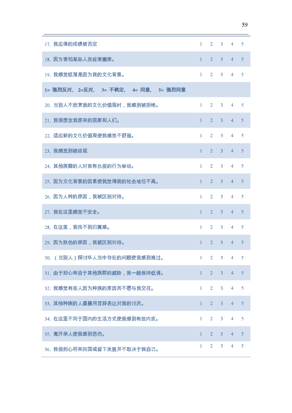| 17. 我应得的成绩被否定                         |              |                      | $1 \t2 \t3 \t4$ |                | 5              |
|---------------------------------------|--------------|----------------------|-----------------|----------------|----------------|
| 18、因为害怕某些人而经常搬家。                      | $\mathbf{1}$ | $2^{\circ}$          | 3 <sup>1</sup>  | $\overline{4}$ | 5              |
| 19、我感觉低落是因为我的文化背景。                    | $1 -$        | $2^{\circ}$          | 3 <sup>1</sup>  | $\overline{4}$ | 5              |
| 1= 强烈反对, 2=反对, 3= 不确定, 4= 同意, 5= 强烈同意 |              |                      |                 |                |                |
| 20, 当别人不欣赏我的文化价值观时,我感到被拒绝。            | $1 -$        | $2^{\circ}$          | 3 <sup>7</sup>  | $\overline{4}$ | 5              |
| 21. 我很想念我原来的国家和人们。                    | $\mathbf{1}$ | $2^{\circ}$          | $3 -$           | $\overline{4}$ | 5              |
| 22、适应新的文化价值观使我感觉不舒服。                  | $\mathbf{1}$ | $2^{\circ}$          | 3 <sup>1</sup>  | $\overline{4}$ | 5              |
| 23. 我感觉到被歧视                           | $1 -$        | $2^{\circ}$          | $3 -$           | $\overline{4}$ | $\overline{5}$ |
| 24. 其他族裔的人对我有仇视的行为举动。                 | $\mathbf{1}$ | $\overline{2}$       | 3 <sup>1</sup>  | $\overline{4}$ | 5              |
| 25、因为文化背景的因素使我觉得我的社会地位不高。             | $1 -$        | $2^{\circ}$          | 3 <sup>1</sup>  | $\overline{4}$ | 5              |
| 26, 因为人种的原因, 我被区别对待。                  | $\mathbf{1}$ | $2^{\circ}$          | 3 <sup>1</sup>  | $\overline{4}$ | 5              |
| 27、我在这里感觉不安全。                         | $\mathbf{1}$ | $2^{\circ}$          | 3 <sup>7</sup>  | $\overline{4}$ | 5              |
| 28. 在这里, 我找不到归属感。                     | $1 -$        | $2^{\circ}$          | 3 <sup>7</sup>  | $\overline{4}$ | 5              |
| 29, 因为肤色的原因, 我被区别对待。                  | $\mathbf{1}$ | $\overline{2}$       | 3 <sup>7</sup>  | $\overline{4}$ | 5              |
| 30, (当别人)探讨华人当中存在的问题使我感到难过。           |              | $\overline{2}$       | 3               | $\overline{4}$ | 5              |
| 31, 由于担心来自于其他族群的威胁,我一般保持低调。           | $\mathbf{1}$ | $2^{\circ}$          | $3 -$           | $\overline{4}$ | 5              |
| 32、我感觉有些人因为种族的原因而不愿与我交往。              | $1 -$        | $2^{\circ}$          | 3 <sup>7</sup>  | $\overline{4}$ | 5              |
| 33. 其他种族的人直接用言辞表达对我的讨厌。               | $\mathbf{1}$ | $2^{\circ}$          | 3 <sup>7</sup>  | $\overline{4}$ | 5              |
| 34, 在这里不同于国内的生活方式使我感到有些内疚。            | $\mathbf{1}$ | $2^{\circ}$          | 3 <sup>7</sup>  | $\overline{4}$ | 5              |
| 35、离开亲人使我感到悲伤。                        | $\mathbf{1}$ | $2^{\circ}$          | 3 <sup>7</sup>  | 4 <sup>1</sup> | 5              |
| 36, 我很担心将来回国或留下发展并不取决于我自己。            | $\mathbf{1}$ | $\mathbf{2}^{\circ}$ | 3               | $\overline{4}$ | 5              |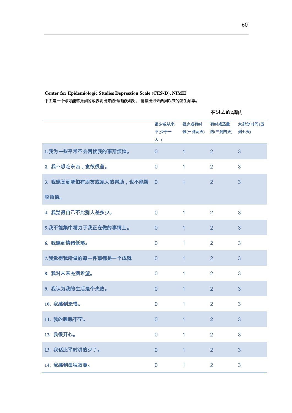|                         |                     |                  | 在过去的2周内               |         |
|-------------------------|---------------------|------------------|-----------------------|---------|
|                         | 很少或从来<br>不少于一<br>天) | 很少或有时<br>候(一到两天) | 有时或适量<br>的(三到四天) 到七天) | 大部分时间(五 |
| 1.我为一些平常不会困扰我的事所烦恼。     | $\overline{0}$      | $\overline{1}$   | $\overline{2}$        | 3       |
| 2. 我不想吃东西,食欲很差。         | $\overline{0}$      | $\mathbf{1}$     | $\overline{2}$        | 3       |
| 3. 我感觉到哪怕有朋友或家人的帮助,也不能摆 | $\overline{0}$      | $\mathbf{1}$     | 2                     | 3       |
| 脱烦恼。                    |                     |                  |                       |         |
| 4. 我觉得自己不比别人差多少。        | $\overline{0}$      | $\mathbf 1$      | 2                     | 3       |
| 5.我不能集中精力于我正在做的事情上。     | $\overline{0}$      | $\overline{1}$   | $\overline{2}$        | 3       |
| 6. 我感到情绪低落。             | $\overline{0}$      | $\mathbf 1$      | $\overline{2}$        | 3       |
| 7.我觉得我所做的每一件事都是一个成就     | $\Omega$            | 1                | $\overline{2}$        | 3       |
| 8. 我对未来充满希望。            | $\overline{0}$      | 1                | $\overline{2}$        | 3       |
| 9. 我认为我的生活是个失败。         | $\Omega$            | 1                | $\overline{2}$        | 3       |
| 10. 我感到恐惧。              | $\overline{0}$      | $\mathbf{1}$     | $\overline{2}$        | 3       |
| 11. 我的睡眠不宁。             | $\overline{0}$      | 1                | $\overline{2}$        | 3       |
| 12. 我很开心。               | $\overline{0}$      | $\mathbf{1}$     | $\overline{2}$        | 3       |
| 13. 我话比平时讲的少了。          | $\overline{0}$      | $\overline{1}$   | $\overline{2}$        | 3       |
| 14. 我感到孤独寂寞。            | $\mathbf 0$         | 1                | $\overline{2}$        | 3       |

### Center for Epidemiologic Studies Depression Scale (CES-D), NIMH 下面是一个你可能感觉到的或表现出来的情绪的列表,请指出过去<mark>两周</mark>以来的发生频率。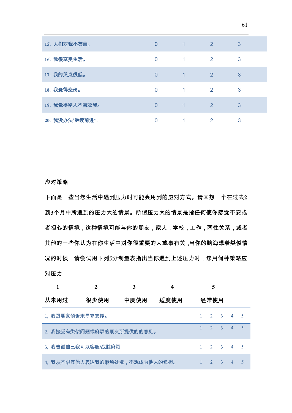| 15. 人们对我不友善。    | $\Omega$ | 1                    | $\overline{2}$ | 3 |
|-----------------|----------|----------------------|----------------|---|
| 16. 我很享受生活。     | $\Omega$ | 1                    | $\overline{2}$ | 3 |
| 17. 我的哭点很低。     | $\Omega$ | 1                    | $\overline{2}$ | 3 |
| 18. 我觉得悲伤。      | 0        | 1                    | $\mathcal{P}$  | 3 |
| 19. 我觉得别人不喜欢我。  | 0        | $\blacktriangleleft$ | $\overline{2}$ | 3 |
| 20. 我没办法"继续前进". |          |                      | 2              | 3 |

#### 应对策略

下面是一些当您生活中遇到压力时可能会用到的应对方式。请回想一个在过去2 到3个月中所遇到的压力大的情景。所谓压力大的情景是指任何使你感觉不安或 者担心的情境,这种情境可能与你的朋友,家人,学校,工作,两性关系,或者 其他的一些你认为在你生活中对你很重要的人或事有关,当你的脑海想着类似情 况的时候,请尝试用下列5分制量表指出当你遇到上述压力时,您用何种策略应 对压力

|                 | 2                             | 3    | 4    | 5             |               |                 |                |
|-----------------|-------------------------------|------|------|---------------|---------------|-----------------|----------------|
| 从未用过            | 很少使用                          | 中度使用 | 适度使用 | 经常使用          |               |                 |                |
| 1, 我跟朋友倾诉来寻求支援。 |                               |      |      | $2^{3}$       |               | $\overline{4}$  | $\overline{5}$ |
|                 | 2, 我接受有类似问题或麻烦的朋友所提供的的意见。     |      |      | $2^{\circ}$   | $\mathcal{R}$ | $\overline{4}$  | $\overline{5}$ |
|                 | 3、我告诫自己我可以客服/战胜麻烦             |      |      |               |               | $2 \t3 \t4 \t5$ |                |
|                 | 4, 我从不跟其他人表达我的麻烦处境,不想成为他人的负担。 |      |      | $\mathcal{D}$ | $\mathcal{R}$ | $\overline{4}$  | $\overline{5}$ |